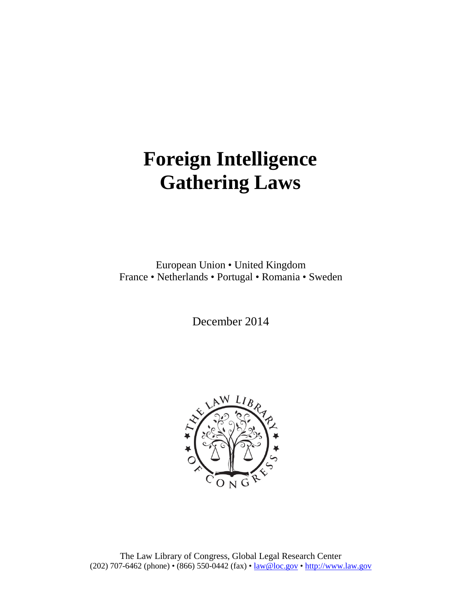# **Foreign Intelligence Gathering Laws**

European Union • United Kingdom France • Netherlands • Portugal • Romania • Sweden

December 2014

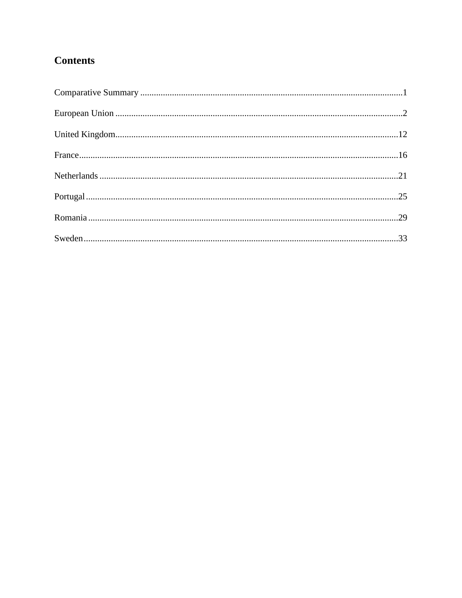# **Contents**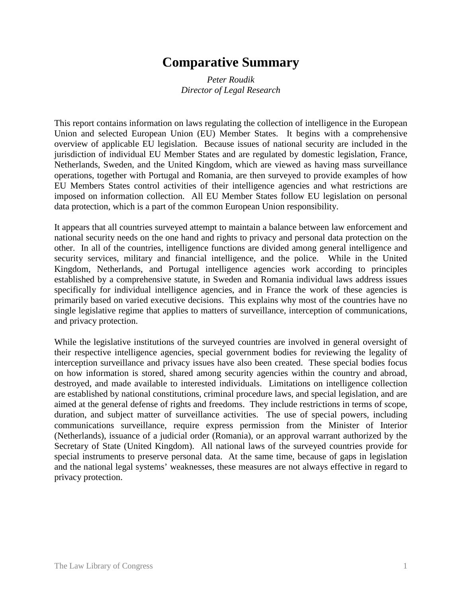# **Comparative Summary**

*Peter Roudik Director of Legal Research*

This report contains information on laws regulating the collection of intelligence in the European Union and selected European Union (EU) Member States. It begins with a comprehensive overview of applicable EU legislation. Because issues of national security are included in the jurisdiction of individual EU Member States and are regulated by domestic legislation, France, Netherlands, Sweden, and the United Kingdom, which are viewed as having mass surveillance operations, together with Portugal and Romania, are then surveyed to provide examples of how EU Members States control activities of their intelligence agencies and what restrictions are imposed on information collection. All EU Member States follow EU legislation on personal data protection, which is a part of the common European Union responsibility.

It appears that all countries surveyed attempt to maintain a balance between law enforcement and national security needs on the one hand and rights to privacy and personal data protection on the other. In all of the countries, intelligence functions are divided among general intelligence and security services, military and financial intelligence, and the police. While in the United Kingdom, Netherlands, and Portugal intelligence agencies work according to principles established by a comprehensive statute, in Sweden and Romania individual laws address issues specifically for individual intelligence agencies, and in France the work of these agencies is primarily based on varied executive decisions. This explains why most of the countries have no single legislative regime that applies to matters of surveillance, interception of communications, and privacy protection.

While the legislative institutions of the surveyed countries are involved in general oversight of their respective intelligence agencies, special government bodies for reviewing the legality of interception surveillance and privacy issues have also been created. These special bodies focus on how information is stored, shared among security agencies within the country and abroad, destroyed, and made available to interested individuals. Limitations on intelligence collection are established by national constitutions, criminal procedure laws, and special legislation, and are aimed at the general defense of rights and freedoms. They include restrictions in terms of scope, duration, and subject matter of surveillance activities. The use of special powers, including communications surveillance, require express permission from the Minister of Interior (Netherlands), issuance of a judicial order (Romania), or an approval warrant authorized by the Secretary of State (United Kingdom). All national laws of the surveyed countries provide for special instruments to preserve personal data. At the same time, because of gaps in legislation and the national legal systems' weaknesses, these measures are not always effective in regard to privacy protection.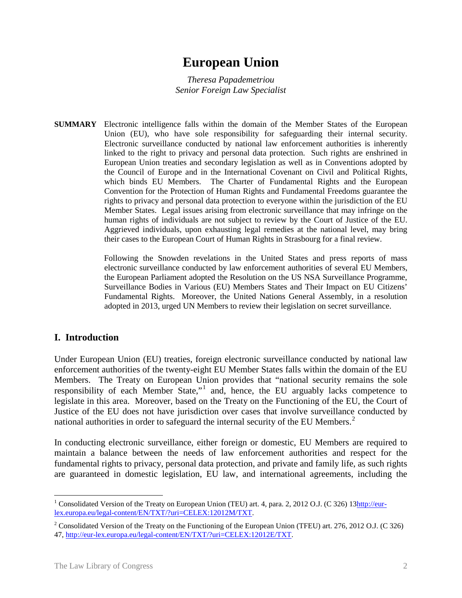# **European Union**

*Theresa Papademetriou Senior Foreign Law Specialist*

**SUMMARY** Electronic intelligence falls within the domain of the Member States of the European Union (EU), who have sole responsibility for safeguarding their internal security. Electronic surveillance conducted by national law enforcement authorities is inherently linked to the right to privacy and personal data protection. Such rights are enshrined in European Union treaties and secondary legislation as well as in Conventions adopted by the Council of Europe and in the International Covenant on Civil and Political Rights, which binds EU Members. The Charter of Fundamental Rights and the European Convention for the Protection of Human Rights and Fundamental Freedoms guarantee the rights to privacy and personal data protection to everyone within the jurisdiction of the EU Member States. Legal issues arising from electronic surveillance that may infringe on the human rights of individuals are not subject to review by the Court of Justice of the EU. Aggrieved individuals, upon exhausting legal remedies at the national level, may bring their cases to the European Court of Human Rights in Strasbourg for a final review.

> Following the Snowden revelations in the United States and press reports of mass electronic surveillance conducted by law enforcement authorities of several EU Members, the European Parliament adopted the Resolution on the US NSA Surveillance Programme, Surveillance Bodies in Various (EU) Members States and Their Impact on EU Citizens' Fundamental Rights. Moreover, the United Nations General Assembly, in a resolution adopted in 2013, urged UN Members to review their legislation on secret surveillance.

# **I. Introduction**

Under European Union (EU) treaties, foreign electronic surveillance conducted by national law enforcement authorities of the twenty-eight EU Member States falls within the domain of the EU Members. The Treaty on European Union provides that "national security remains the sole responsibility of each Member State,"[1](#page-3-0) and, hence, the EU arguably lacks competence to legislate in this area. Moreover, based on the Treaty on the Functioning of the EU, the Court of Justice of the EU does not have jurisdiction over cases that involve surveillance conducted by national authorities in order to safeguard the internal security of the EU Members.<sup>[2](#page-3-1)</sup>

In conducting electronic surveillance, either foreign or domestic, EU Members are required to maintain a balance between the needs of law enforcement authorities and respect for the fundamental rights to privacy, personal data protection, and private and family life, as such rights are guaranteed in domestic legislation, EU law, and international agreements, including the

<span id="page-3-0"></span><sup>&</sup>lt;sup>1</sup> Consolidated Version of the Treaty on European Union (TEU) art. 4, para. 2, 2012 O.J. (C 326) 13 $\frac{http://eur-}$ [lex.europa.eu/legal-content/EN/TXT/?uri=CELEX:12012M/TXT.](http://eur-lex.europa.eu/legal-content/EN/TXT/?uri=CELEX:12012M/TXT)

<span id="page-3-1"></span><sup>&</sup>lt;sup>2</sup> Consolidated Version of the Treaty on the Functioning of the European Union (TFEU) art. 276, 2012 O.J. (C 326) 47, [http://eur-lex.europa.eu/legal-content/EN/TXT/?uri=CELEX:12012E/TXT.](http://eur-lex.europa.eu/legal-content/EN/TXT/?uri=CELEX:12012E/TXT)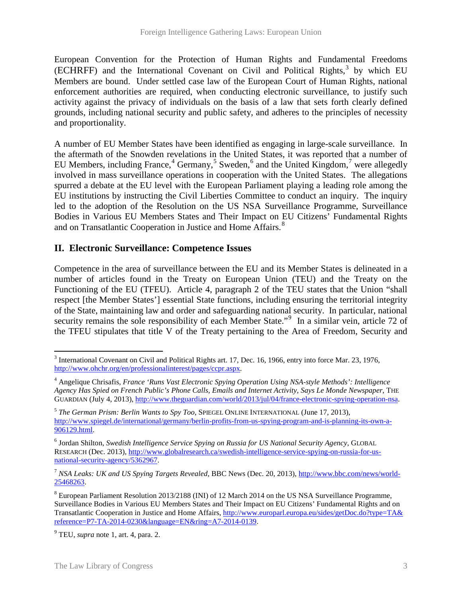European Convention for the Protection of Human Rights and Fundamental Freedoms  $(ECHRFF)$  and the International Covenant on Civil and Political Rights,<sup>[3](#page-4-0)</sup> by which EU Members are bound. Under settled case law of the European Court of Human Rights, national enforcement authorities are required, when conducting electronic surveillance, to justify such activity against the privacy of individuals on the basis of a law that sets forth clearly defined grounds, including national security and public safety, and adheres to the principles of necessity and proportionality.

A number of EU Member States have been identified as engaging in large-scale surveillance. In the aftermath of the Snowden revelations in the United States, it was reported that a number of EU Members, including France,  $4$  Germany,  $5$  Sweden,  $6$  and the United Kingdom,  $7$  were allegedly involved in mass surveillance operations in cooperation with the United States. The allegations spurred a debate at the EU level with the European Parliament playing a leading role among the EU institutions by instructing the Civil Liberties Committee to conduct an inquiry. The inquiry led to the adoption of the Resolution on the US NSA Surveillance Programme, Surveillance Bodies in Various EU Members States and Their Impact on EU Citizens' Fundamental Rights and on Transatlantic Cooperation in Justice and Home Affairs.<sup>[8](#page-4-5)</sup>

# **II. Electronic Surveillance: Competence Issues**

Competence in the area of surveillance between the EU and its Member States is delineated in a number of articles found in the Treaty on European Union (TEU) and the Treaty on the Functioning of the EU (TFEU). Article 4, paragraph 2 of the TEU states that the Union "shall respect [the Member States'] essential State functions, including ensuring the territorial integrity of the State, maintaining law and order and safeguarding national security. In particular, national security remains the sole responsibility of each Member State."<sup>[9](#page-4-6)</sup> In a similar vein, article 72 of the TFEU stipulates that title V of the Treaty pertaining to the Area of Freedom, Security and

<span id="page-4-0"></span><sup>3</sup> International Covenant on Civil and Political Rights art. 17, Dec. 16, 1966, entry into force Mar. 23, 1976, [http://www.ohchr.org/en/professionalinterest/pages/ccpr.aspx.](http://www.ohchr.org/en/professionalinterest/pages/ccpr.aspx) 

<span id="page-4-1"></span><sup>4</sup> Angelique Chrisafis, *France 'Runs Vast Electronic Spying Operation Using NSA-style Methods': Intelligence Agency Has Spied on French Public's Phone Calls, Emails and Internet Activity, Says Le Monde Newspaper*, THE GUARDIAN (July 4, 2013)[, http://www.theguardian.com/world/2013/jul/04/france-electronic-spying-operation-nsa.](http://www.theguardian.com/world/2013/jul/04/france-electronic-spying-operation-nsa)

<span id="page-4-2"></span><sup>5</sup> *The German Prism: Berlin Wants to Spy Too*, SPIEGEL ONLINE INTERNATIONAL (June 17, 2013), [http://www.spiegel.de/international/germany/berlin-profits-from-us-spying-program-and-is-planning-its-own-a-](http://www.spiegel.de/international/germany/berlin-profits-from-us-spying-program-and-is-planning-its-own-a-906129.html)[906129.html.](http://www.spiegel.de/international/germany/berlin-profits-from-us-spying-program-and-is-planning-its-own-a-906129.html)

<span id="page-4-3"></span><sup>6</sup> Jordan Shilton, *Swedish Intelligence Service Spying on Russia for US National Security Agency*, GLOBAL RESEARCH (Dec. 2013), [http://www.globalresearch.ca/swedish-intelligence-service-spying-on-russia-for-us](http://www.globalresearch.ca/swedish-intelligence-service-spying-on-russia-for-us-national-security-agency/5362967)[national-security-agency/5362967.](http://www.globalresearch.ca/swedish-intelligence-service-spying-on-russia-for-us-national-security-agency/5362967)

<span id="page-4-4"></span><sup>7</sup> *NSA Leaks: UK and US Spying Targets Revealed*, BBC News (Dec. 20, 2013), [http://www.bbc.com/news/world-](http://www.bbc.com/news/world-25468263)[25468263.](http://www.bbc.com/news/world-25468263)

<span id="page-4-5"></span><sup>8</sup> European Parliament Resolution 2013/2188 (INI) of 12 March 2014 on the US NSA Surveillance Programme, Surveillance Bodies in Various EU Members States and Their Impact on EU Citizens' Fundamental Rights and on Transatlantic Cooperation in Justice and Home Affairs, [http://www.europarl.europa.eu/sides/getDoc.do?type=TA&](http://www.europarl.europa.eu/sides/getDoc.do?type=TA&reference=P7-TA-2014-0230&language=EN&ring=A7-2014-0139)  [reference=P7-TA-2014-0230&language=EN&ring=A7-2014-0139.](http://www.europarl.europa.eu/sides/getDoc.do?type=TA&reference=P7-TA-2014-0230&language=EN&ring=A7-2014-0139)

<span id="page-4-6"></span><sup>9</sup> TEU, *supra* note 1, art. 4, para. 2.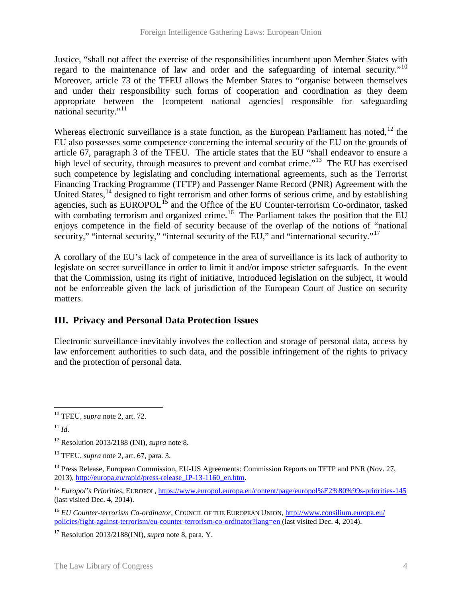Justice, "shall not affect the exercise of the responsibilities incumbent upon Member States with regard to the maintenance of law and order and the safeguarding of internal security."<sup>[10](#page-5-0)</sup> Moreover, article 73 of the TFEU allows the Member States to "organise between themselves and under their responsibility such forms of cooperation and coordination as they deem appropriate between the [competent national agencies] responsible for safeguarding national security."[11](#page-5-1)

Whereas electronic surveillance is a state function, as the European Parliament has noted,<sup>[12](#page-5-2)</sup> the EU also possesses some competence concerning the internal security of the EU on the grounds of article 67, paragraph 3 of the TFEU. The article states that the EU "shall endeavor to ensure a high level of security, through measures to prevent and combat crime."<sup>13</sup> The EU has exercised such competence by legislating and concluding international agreements, such as the Terrorist Financing Tracking Programme (TFTP) and Passenger Name Record (PNR) Agreement with the United States,<sup>[14](#page-5-4)</sup> designed to fight terrorism and other forms of serious crime, and by establishing agencies, such as EUROPOL<sup>[15](#page-5-5)</sup> and the Office of the EU Counter-terrorism Co-ordinator, tasked with combating terrorism and organized crime.<sup>16</sup> The Parliament takes the position that the EU enjoys competence in the field of security because of the overlap of the notions of "national security," "internal security," "internal security of the EU," and "international security."<sup>[17](#page-5-7)</sup>

A corollary of the EU's lack of competence in the area of surveillance is its lack of authority to legislate on secret surveillance in order to limit it and/or impose stricter safeguards. In the event that the Commission, using its right of initiative, introduced legislation on the subject, it would not be enforceable given the lack of jurisdiction of the European Court of Justice on security matters.

# **III. Privacy and Personal Data Protection Issues**

Electronic surveillance inevitably involves the collection and storage of personal data, access by law enforcement authorities to such data, and the possible infringement of the rights to privacy and the protection of personal data.

<span id="page-5-1"></span> $11 \, Id.$ 

<span id="page-5-0"></span><sup>10</sup> TFEU, *supra* note 2, art. 72.  $\overline{a}$ 

<span id="page-5-2"></span><sup>12</sup> Resolution 2013/2188 (INI), *supra* note 8.

<span id="page-5-3"></span><sup>13</sup> TFEU, *supra* note 2, art. 67, para. 3.

<span id="page-5-4"></span><sup>&</sup>lt;sup>14</sup> Press Release, European Commission, EU-US Agreements: Commission Reports on TFTP and PNR (Nov. 27, 2013), [http://europa.eu/rapid/press-release\\_IP-13-1160\\_en.htm.](http://europa.eu/rapid/press-release_IP-13-1160_en.htm)

<span id="page-5-5"></span><sup>15</sup> *Europol's Priorities*, EUROPOL, <https://www.europol.europa.eu/content/page/europol%E2%80%99s-priorities-145> (last visited Dec. 4, 2014).

<span id="page-5-6"></span><sup>16</sup> *EU Counter-terrorism Co-ordinator*, COUNCIL OF THE EUROPEAN UNION, [http://www.consilium.europa.eu/](http://www.consilium.europa.eu/policies/fight-against-terrorism/eu-counter-terrorism-co-ordinator?lang=en)  [policies/fight-against-terrorism/eu-counter-terrorism-co-ordinator?lang=en](http://www.consilium.europa.eu/policies/fight-against-terrorism/eu-counter-terrorism-co-ordinator?lang=en) (last visited Dec. 4, 2014).

<span id="page-5-7"></span><sup>17</sup> Resolution 2013/2188(INI), *supra* note 8, para. Y.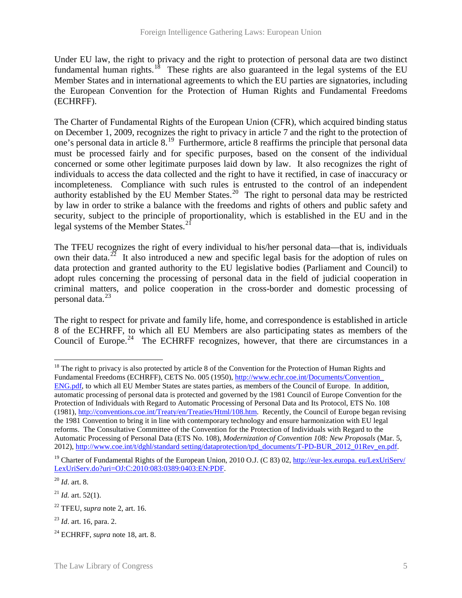Under EU law, the right to privacy and the right to protection of personal data are two distinct fundamental human rights.<sup>18</sup> These rights are also guaranteed in the legal systems of the EU Member States and in international agreements to which the EU parties are signatories, including the European Convention for the Protection of Human Rights and Fundamental Freedoms (ECHRFF).

The Charter of Fundamental Rights of the European Union (CFR), which acquired binding status on December 1, 2009, recognizes the right to privacy in article 7 and the right to the protection of one's personal data in article 8.[19](#page-6-1) Furthermore, article 8 reaffirms the principle that personal data must be processed fairly and for specific purposes, based on the consent of the individual concerned or some other legitimate purposes laid down by law. It also recognizes the right of individuals to access the data collected and the right to have it rectified, in case of inaccuracy or incompleteness. Compliance with such rules is entrusted to the control of an independent authority established by the EU Member States.<sup>[20](#page-6-2)</sup> The right to personal data may be restricted by law in order to strike a balance with the freedoms and rights of others and public safety and security, subject to the principle of proportionality, which is established in the EU and in the legal systems of the Member States.<sup>[21](#page-6-3)</sup>

The TFEU recognizes the right of every individual to his/her personal data—that is, individuals own their data.<sup>[22](#page-6-4)</sup> It also introduced a new and specific legal basis for the adoption of rules on data protection and granted authority to the EU legislative bodies (Parliament and Council) to adopt rules concerning the processing of personal data in the field of judicial cooperation in criminal matters, and police cooperation in the cross-border and domestic processing of personal data.<sup>[23](#page-6-5)</sup>

The right to respect for private and family life, home, and correspondence is established in article 8 of the ECHRFF, to which all EU Members are also participating states as members of the Council of Europe.<sup>[24](#page-6-6)</sup> The ECHRFF recognizes, however, that there are circumstances in a

 $\overline{a}$ 

<span id="page-6-0"></span><sup>&</sup>lt;sup>18</sup> The right to privacy is also protected by article 8 of the Convention for the Protection of Human Rights and Fundamental Freedoms (ECHRFF), CETS No. 005 (1950)[, http://www.echr.coe.int/Documents/Convention\\_](http://www.echr.coe.int/Documents/Convention_ENG.pdf)  [ENG.pdf,](http://www.echr.coe.int/Documents/Convention_ENG.pdf) to which all EU Member States are states parties, as members of the Council of Europe. In addition, automatic processing of personal data is protected and governed by the 1981 Council of Europe Convention for the Protection of Individuals with Regard to Automatic Processing of Personal Data and Its Protocol, ETS No. 108 (1981)[, http://conventions.coe.int/Treaty/en/Treaties/Html/108.htm.](http://conventions.coe.int/Treaty/en/Treaties/Html/108.htm) Recently, the Council of Europe began revising the 1981 Convention to bring it in line with contemporary technology and ensure harmonization with EU legal reforms. The Consultative Committee of the Convention for the Protection of Individuals with Regard to the Automatic Processing of Personal Data (ETS No. 108), *Modernization of Convention 108: New Proposals* (Mar. 5, 2012), [http://www.coe.int/t/dghl/standard setting/dataprotection/tpd\\_documents/T-PD-BUR\\_2012\\_01Rev\\_en.pdf.](http://www.coe.int/t/dghl/standardsetting/dataprotection/tpd_documents/T-PD-BUR_2012_01Rev_en.pdf)

<span id="page-6-1"></span><sup>&</sup>lt;sup>19</sup> Charter of Fundamental Rights of the European Union, 2010 O.J. (C 83) 02, http://eur-lex.europa. eu/LexUriServ/ [LexUriServ.do?uri=OJ:C:2010:083:0389:0403:EN:PDF.](http://eur-lex.europa.eu/LexUriServ/LexUriServ.do?uri=OJ:C:2010:083:0389:0403:EN:PDF)

<span id="page-6-2"></span><sup>20</sup> *Id*. art. 8.

<span id="page-6-3"></span> $^{21}$  *Id.* art. 52(1).

<span id="page-6-4"></span><sup>22</sup> TFEU, *supra* note 2, art. 16.

<span id="page-6-5"></span><sup>23</sup> *Id*. art. 16, para. 2.

<span id="page-6-6"></span><sup>24</sup> ECHRFF, *supra* note 18, art. 8.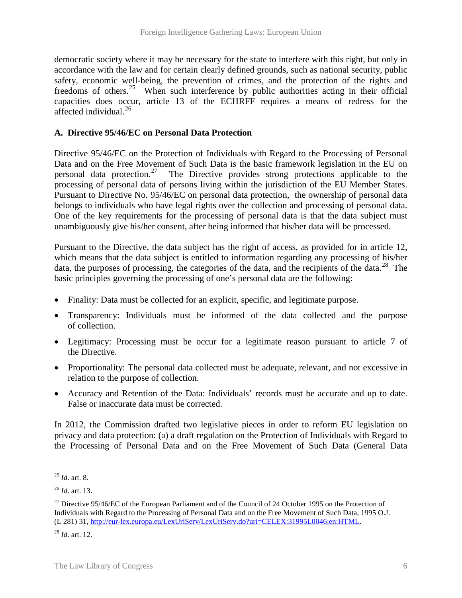democratic society where it may be necessary for the state to interfere with this right, but only in accordance with the law and for certain clearly defined grounds, such as national security, public safety, economic well-being, the prevention of crimes, and the protection of the rights and freedoms of others.<sup>[25](#page-7-0)</sup> When such interference by public authorities acting in their official capacities does occur, article 13 of the ECHRFF requires a means of redress for the affected individual.<sup>[26](#page-7-1)</sup>

### **A. Directive 95/46/EC on Personal Data Protection**

Directive 95/46/EC on the Protection of Individuals with Regard to the Processing of Personal Data and on the Free Movement of Such Data is the basic framework legislation in the EU on personal data protection.<sup>27</sup> The Directive provides strong protections applicable to the The Directive provides strong protections applicable to the processing of personal data of persons living within the jurisdiction of the EU Member States. Pursuant to Directive No. 95/46/EC on personal data protection, the ownership of personal data belongs to individuals who have legal rights over the collection and processing of personal data. One of the key requirements for the processing of personal data is that the data subject must unambiguously give his/her consent, after being informed that his/her data will be processed.

Pursuant to the Directive, the data subject has the right of access, as provided for in article 12, which means that the data subject is entitled to information regarding any processing of his/her data, the purposes of processing, the categories of the data, and the recipients of the data.<sup>28</sup> The basic principles governing the processing of one's personal data are the following:

- Finality: Data must be collected for an explicit, specific, and legitimate purpose.
- Transparency: Individuals must be informed of the data collected and the purpose of collection.
- Legitimacy: Processing must be occur for a legitimate reason pursuant to article 7 of the Directive.
- Proportionality: The personal data collected must be adequate, relevant, and not excessive in relation to the purpose of collection.
- Accuracy and Retention of the Data: Individuals' records must be accurate and up to date. False or inaccurate data must be corrected.

In 2012, the Commission drafted two legislative pieces in order to reform EU legislation on privacy and data protection: (a) a draft regulation on the Protection of Individuals with Regard to the Processing of Personal Data and on the Free Movement of Such Data (General Data

<span id="page-7-0"></span><sup>25</sup> *Id*. art. 8.  $\overline{a}$ 

<span id="page-7-1"></span><sup>26</sup> *Id*. art. 13.

<span id="page-7-2"></span><sup>&</sup>lt;sup>27</sup> Directive 95/46/EC of the European Parliament and of the Council of 24 October 1995 on the Protection of Individuals with Regard to the Processing of Personal Data and on the Free Movement of Such Data, 1995 O.J. (L 281) 31, [http://eur-lex.europa.eu/LexUriServ/LexUriServ.do?uri=CELEX:31995L0046:en:HTML.](http://eur-lex.europa.eu/LexUriServ/LexUriServ.do?uri=CELEX:31995L0046:en:HTML)

<span id="page-7-3"></span><sup>28</sup> *Id*. art. 12.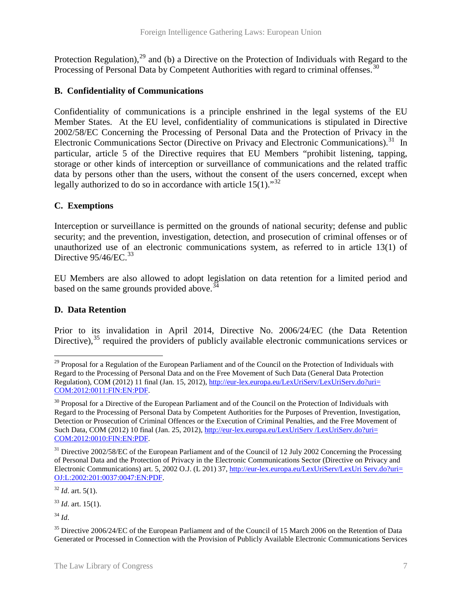Protection Regulation),  $29$  and (b) a Directive on the Protection of Individuals with Regard to the Processing of Personal Data by Competent Authorities with regard to criminal offenses.<sup>[30](#page-8-1)</sup>

### **B. Confidentiality of Communications**

Confidentiality of communications is a principle enshrined in the legal systems of the EU Member States. At the EU level, confidentiality of communications is stipulated in Directive 2002/58/EC Concerning the Processing of Personal Data and the Protection of Privacy in the Electronic Communications Sector (Directive on Privacy and Electronic Communications).<sup>[31](#page-8-2)</sup> In particular, article 5 of the Directive requires that EU Members "prohibit listening, tapping, storage or other kinds of interception or surveillance of communications and the related traffic data by persons other than the users, without the consent of the users concerned, except when legally authorized to do so in accordance with article  $15(1)$ ."<sup>[32](#page-8-3)</sup>

### **C. Exemptions**

Interception or surveillance is permitted on the grounds of national security; defense and public security; and the prevention, investigation, detection, and prosecution of criminal offenses or of unauthorized use of an electronic communications system, as referred to in article 13(1) of Directive  $95/46$ /EC.<sup>[33](#page-8-4)</sup>

EU Members are also allowed to adopt legislation on data retention for a limited period and based on the same grounds provided above.  $34$ 

### **D. Data Retention**

Prior to its invalidation in April 2014, Directive No. 2006/24/EC (the Data Retention Directive),  $35$  required the providers of publicly available electronic communications services or

<span id="page-8-4"></span><sup>33</sup> *Id*. art. 15(1).

<span id="page-8-5"></span><sup>34</sup> *Id*.

<span id="page-8-0"></span> $29$  Proposal for a Regulation of the European Parliament and of the Council on the Protection of Individuals with Regard to the Processing of Personal Data and on the Free Movement of Such Data (General Data Protection Regulation), COM (2012) 11 final (Jan. 15, 2012), [http://eur-lex.europa.eu/LexUriServ/LexUriServ.do?uri=](http://eur-lex.europa.eu/LexUriServ/LexUriServ.do?uri=COM:2012:0011:FIN:EN:PDF)  [COM:2012:0011:FIN:EN:PDF.](http://eur-lex.europa.eu/LexUriServ/LexUriServ.do?uri=COM:2012:0011:FIN:EN:PDF)  $\overline{a}$ 

<span id="page-8-1"></span> $30$  Proposal for a Directive of the European Parliament and of the Council on the Protection of Individuals with Regard to the Processing of Personal Data by Competent Authorities for the Purposes of Prevention, Investigation, Detection or Prosecution of Criminal Offences or the Execution of Criminal Penalties, and the Free Movement of Such Data, COM (2012) 10 final (Jan. 25, 2012), http://eur-lex.europa.eu/LexUriServ /LexUriServ.do?uri= [COM:2012:0010:FIN:EN:PDF.](http://eur-lex.europa.eu/LexUriServ%20/LexUriServ.do?uri=COM:2012:0010:FIN:EN:PDF)

<span id="page-8-2"></span> $31$  Directive 2002/58/EC of the European Parliament and of the Council of 12 July 2002 Concerning the Processing of Personal Data and the Protection of Privacy in the Electronic Communications Sector (Directive on Privacy and Electronic Communications) art. 5, 2002 O.J. (L 201) 37, [http://eur-lex.europa.eu/LexUriServ/LexUri Serv.do?uri=](http://eur-lex.europa.eu/LexUriServ/LexUriServ.do?uri=OJ:L:2002:201:0037:0047:EN:PDF)  [OJ:L:2002:201:0037:0047:EN:PDF.](http://eur-lex.europa.eu/LexUriServ/LexUriServ.do?uri=OJ:L:2002:201:0037:0047:EN:PDF)

<span id="page-8-3"></span> $32$  *Id.* art. 5(1).

<span id="page-8-6"></span><sup>&</sup>lt;sup>35</sup> Directive 2006/24/EC of the European Parliament and of the Council of 15 March 2006 on the Retention of Data Generated or Processed in Connection with the Provision of Publicly Available Electronic Communications Services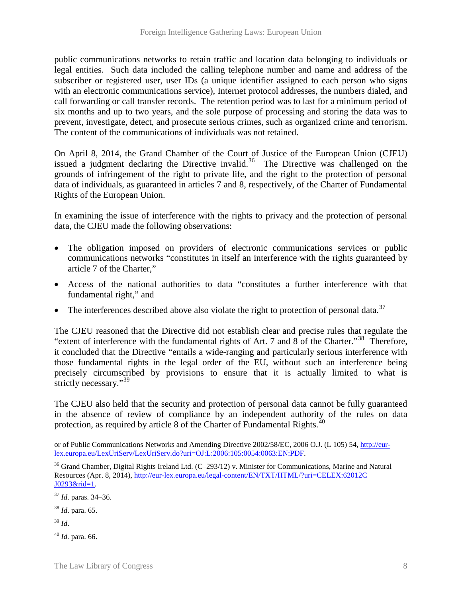public communications networks to retain traffic and location data belonging to individuals or legal entities. Such data included the calling telephone number and name and address of the subscriber or registered user, user IDs (a unique identifier assigned to each person who signs with an electronic communications service), Internet protocol addresses, the numbers dialed, and call forwarding or call transfer records. The retention period was to last for a minimum period of six months and up to two years, and the sole purpose of processing and storing the data was to prevent, investigate, detect, and prosecute serious crimes, such as organized crime and terrorism. The content of the communications of individuals was not retained.

On April 8, 2014, the Grand Chamber of the Court of Justice of the European Union (CJEU) issued a judgment declaring the Directive invalid.<sup>36</sup> The Directive was challenged on the grounds of infringement of the right to private life, and the right to the protection of personal data of individuals, as guaranteed in articles 7 and 8, respectively, of the Charter of Fundamental Rights of the European Union.

In examining the issue of interference with the rights to privacy and the protection of personal data, the CJEU made the following observations:

- The obligation imposed on providers of electronic communications services or public communications networks "constitutes in itself an interference with the rights guaranteed by article 7 of the Charter,"
- Access of the national authorities to data "constitutes a further interference with that fundamental right," and
- The interferences described above also violate the right to protection of personal data.<sup>[37](#page-9-1)</sup>

The CJEU reasoned that the Directive did not establish clear and precise rules that regulate the "extent of interference with the fundamental rights of Art. 7 and  $8$  of the Charter."<sup>[38](#page-9-2)</sup> Therefore, it concluded that the Directive "entails a wide-ranging and particularly serious interference with those fundamental rights in the legal order of the EU, without such an interference being precisely circumscribed by provisions to ensure that it is actually limited to what is strictly necessary."<sup>[39](#page-9-3)</sup>

The CJEU also held that the security and protection of personal data cannot be fully guaranteed in the absence of review of compliance by an independent authority of the rules on data protection, as required by article 8 of the Charter of Fundamental Rights. $40$ 

- <span id="page-9-2"></span><sup>38</sup> *Id*. para. 65.
- <span id="page-9-3"></span><sup>39</sup> *Id*.

 $\overline{a}$ 

<span id="page-9-4"></span><sup>40</sup> *Id.* para. 66.

or of Public Communications Networks and Amending Directive 2002/58/EC, 2006 O.J. (L 105) 54[, http://eur](http://eur-lex.europa.eu/LexUriServ/LexUriServ.do?uri=OJ:L:2006:105:0054:0063:EN:PDF)[lex.europa.eu/LexUriServ/LexUriServ.do?uri=OJ:L:2006:105:0054:0063:EN:PDF.](http://eur-lex.europa.eu/LexUriServ/LexUriServ.do?uri=OJ:L:2006:105:0054:0063:EN:PDF)

<span id="page-9-0"></span><sup>36</sup> Grand Chamber, Digital Rights Ireland Ltd. (C–293/12) v. Minister for Communications, Marine and Natural Resources (Apr. 8, 2014), [http://eur-lex.europa.eu/legal-content/EN/TXT/HTML/?uri=CELEX:62012C](http://eur-lex.europa.eu/legal-content/EN/TXT/HTML/?uri=CELEX:62012CJ0293&rid=1)  [J0293&rid=1.](http://eur-lex.europa.eu/legal-content/EN/TXT/HTML/?uri=CELEX:62012CJ0293&rid=1)

<span id="page-9-1"></span><sup>37</sup> *Id*. paras. 34–36.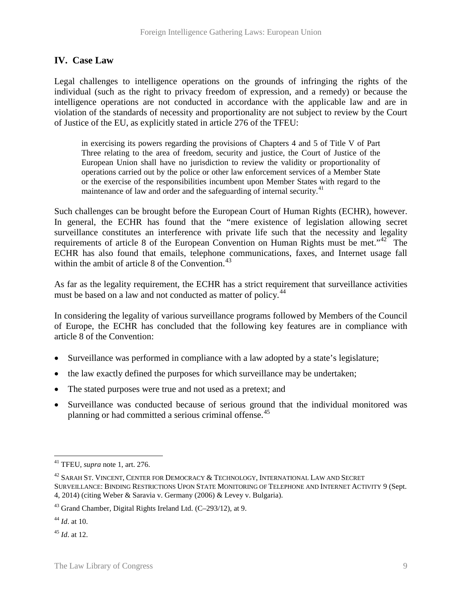# **IV. Case Law**

Legal challenges to intelligence operations on the grounds of infringing the rights of the individual (such as the right to privacy freedom of expression, and a remedy) or because the intelligence operations are not conducted in accordance with the applicable law and are in violation of the standards of necessity and proportionality are not subject to review by the Court of Justice of the EU, as explicitly stated in article 276 of the TFEU:

in exercising its powers regarding the provisions of Chapters 4 and 5 of Title V of Part Three relating to the area of freedom, security and justice, the Court of Justice of the European Union shall have no jurisdiction to review the validity or proportionality of operations carried out by the police or other law enforcement services of a Member State or the exercise of the responsibilities incumbent upon Member States with regard to the maintenance of law and order and the safeguarding of internal security.<sup>[41](#page-10-0)</sup>

Such challenges can be brought before the European Court of Human Rights (ECHR), however. In general, the ECHR has found that the "mere existence of legislation allowing secret surveillance constitutes an interference with private life such that the necessity and legality requirements of article 8 of the European Convention on Human Rights must be met.<sup>"42</sup> The ECHR has also found that emails, telephone communications, faxes, and Internet usage fall within the ambit of article 8 of the Convention. [43](#page-10-2)

As far as the legality requirement, the ECHR has a strict requirement that surveillance activities must be based on a law and not conducted as matter of policy.<sup>[44](#page-10-3)</sup>

In considering the legality of various surveillance programs followed by Members of the Council of Europe, the ECHR has concluded that the following key features are in compliance with article 8 of the Convention:

- Surveillance was performed in compliance with a law adopted by a state's legislature;
- the law exactly defined the purposes for which surveillance may be undertaken;
- The stated purposes were true and not used as a pretext; and
- Surveillance was conducted because of serious ground that the individual monitored was planning or had committed a serious criminal offense.<sup>[45](#page-10-4)</sup>

<span id="page-10-0"></span><sup>41</sup> TFEU, *supra* note 1, art. 276.  $\overline{a}$ 

<span id="page-10-1"></span><sup>42</sup> SARAH ST. VINCENT, CENTER FOR DEMOCRACY & TECHNOLOGY, INTERNATIONAL LAW AND SECRET SURVEILLANCE: BINDING RESTRICTIONS UPON STATE MONITORING OF TELEPHONE AND INTERNET ACTIVITY 9 (Sept. 4, 2014) (citing Weber & Saravia v. Germany (2006) & Levey v. Bulgaria).

<span id="page-10-2"></span><sup>43</sup> Grand Chamber, Digital Rights Ireland Ltd. (C–293/12), at 9.

<span id="page-10-3"></span><sup>44</sup> *Id*. at 10.

<span id="page-10-4"></span><sup>45</sup> *Id*. at 12.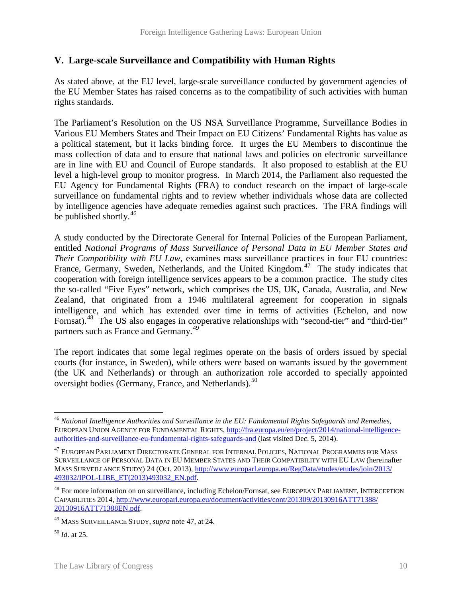# **V. Large-scale Surveillance and Compatibility with Human Rights**

As stated above, at the EU level, large-scale surveillance conducted by government agencies of the EU Member States has raised concerns as to the compatibility of such activities with human rights standards.

The Parliament's Resolution on the US NSA Surveillance Programme, Surveillance Bodies in Various EU Members States and Their Impact on EU Citizens' Fundamental Rights has value as a political statement, but it lacks binding force. It urges the EU Members to discontinue the mass collection of data and to ensure that national laws and policies on electronic surveillance are in line with EU and Council of Europe standards. It also proposed to establish at the EU level a high-level group to monitor progress. In March 2014, the Parliament also requested the EU Agency for Fundamental Rights (FRA) to conduct research on the impact of large-scale surveillance on fundamental rights and to review whether individuals whose data are collected by intelligence agencies have adequate remedies against such practices. The FRA findings will be published shortly. $46$ 

A study conducted by the Directorate General for Internal Policies of the European Parliament, entitled *National Programs of Mass Surveillance of Personal Data in EU Member States and Their Compatibility with EU Law*, examines mass surveillance practices in four EU countries: France, Germany, Sweden, Netherlands, and the United Kingdom.<sup>[47](#page-11-1)</sup> The study indicates that cooperation with foreign intelligence services appears to be a common practice. The study cites the so-called "Five Eyes" network, which comprises the US, UK, Canada, Australia, and New Zealand, that originated from a 1946 multilateral agreement for cooperation in signals intelligence, and which has extended over time in terms of activities (Echelon, and now Fornsat).<sup>48</sup> The US also engages in cooperative relationships with "second-tier" and "third-tier" partners such as France and Germany.<sup>[49](#page-11-3)</sup>

The report indicates that some legal regimes operate on the basis of orders issued by special courts (for instance, in Sweden), while others were based on warrants issued by the government (the UK and Netherlands) or through an authorization role accorded to specially appointed oversight bodies (Germany, France, and Netherlands).<sup>[50](#page-11-4)</sup>

 $\overline{a}$ 

<span id="page-11-0"></span><sup>46</sup> *National Intelligence Authorities and Surveillance in the EU: Fundamental Rights Safeguards and Remedies*, EUROPEAN UNION AGENCY FOR FUNDAMENTAL RIGHTS, [http://fra.europa.eu/en/project/2014/national-intelligence](http://fra.europa.eu/en/project/2014/national-intelligence-authorities-and-surveillance-eu-fundamental-rights-safeguards-and)[authorities-and-surveillance-eu-fundamental-rights-safeguards-and](http://fra.europa.eu/en/project/2014/national-intelligence-authorities-and-surveillance-eu-fundamental-rights-safeguards-and) (last visited Dec. 5, 2014).

<span id="page-11-1"></span> $^{47}$  EUROPEAN PARLIAMENT DIRECTORATE GENERAL FOR INTERNAL POLICIES, NATIONAL PROGRAMMES FOR MASS SURVEILLANCE OF PERSONAL DATA IN EU MEMBER STATES AND THEIR COMPATIBILITY WITH EU LAW (hereinafter MASS SURVEILLANCE STUDY) 24 (Oct. 2013), [http://www.europarl.europa.eu/RegData/etudes/etudes/join/2013/](http://www.europarl.europa.eu/RegData/etudes/etudes/join/2013/493032/IPOL-LIBE_ET(2013)493032_EN.pdf)  [493032/IPOL-LIBE\\_ET\(2013\)493032\\_EN.pdf.](http://www.europarl.europa.eu/RegData/etudes/etudes/join/2013/493032/IPOL-LIBE_ET(2013)493032_EN.pdf)

<span id="page-11-2"></span><sup>48</sup> For more information on on surveillance, including Echelon/Fornsat, see EUROPEAN PARLIAMENT, INTERCEPTION CAPABILITIES 2014, [http://www.europarl.europa.eu/document/activities/cont/201309/20130916ATT71388/](http://www.europarl.europa.eu/document/activities/cont/201309/20130916ATT71388/20130916ATT71388EN.pdf)  [20130916ATT71388EN.pdf.](http://www.europarl.europa.eu/document/activities/cont/201309/20130916ATT71388/20130916ATT71388EN.pdf)

<span id="page-11-3"></span><sup>49</sup> MASS SURVEILLANCE STUDY, *supra* note 47, at 24.

<span id="page-11-4"></span><sup>50</sup> *Id*. at 25.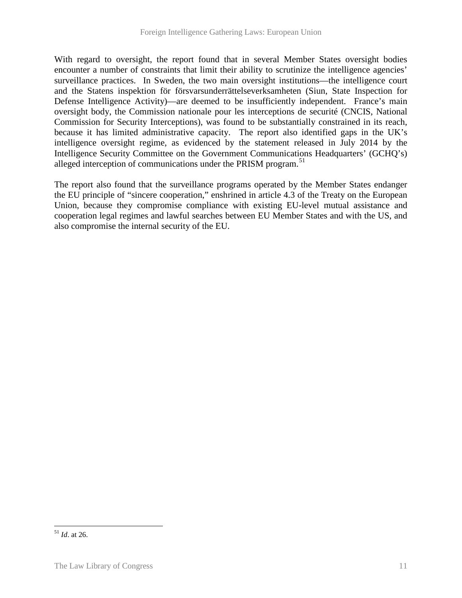With regard to oversight, the report found that in several Member States oversight bodies encounter a number of constraints that limit their ability to scrutinize the intelligence agencies' surveillance practices. In Sweden, the two main oversight institutions—the intelligence court and the Statens inspektion för försvarsunderrättelseverksamheten (Siun, State Inspection for Defense Intelligence Activity)—are deemed to be insufficiently independent. France's main oversight body, the Commission nationale pour les interceptions de securité (CNCIS, National Commission for Security Interceptions), was found to be substantially constrained in its reach, because it has limited administrative capacity. The report also identified gaps in the UK's intelligence oversight regime, as evidenced by the statement released in July 2014 by the Intelligence Security Committee on the Government Communications Headquarters' (GCHQ's) alleged interception of communications under the PRISM program.<sup>51</sup>

The report also found that the surveillance programs operated by the Member States endanger the EU principle of "sincere cooperation," enshrined in article 4.3 of the Treaty on the European Union, because they compromise compliance with existing EU-level mutual assistance and cooperation legal regimes and lawful searches between EU Member States and with the US, and also compromise the internal security of the EU.

 $\overline{a}$ 

<span id="page-12-0"></span><sup>51</sup> *Id*. at 26.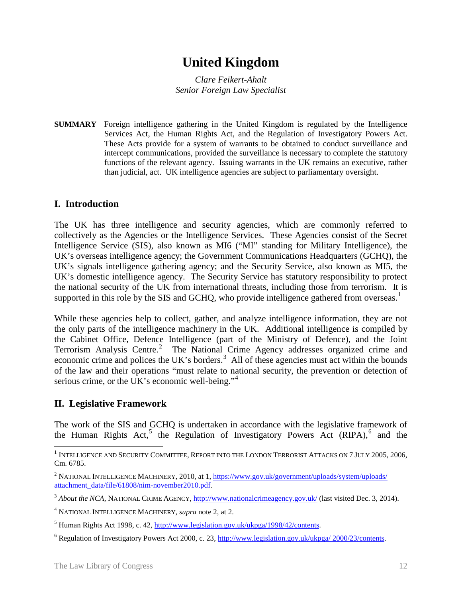# **United Kingdom**

*Clare Feikert-Ahalt Senior Foreign Law Specialist*

**SUMMARY** Foreign intelligence gathering in the United Kingdom is regulated by the Intelligence Services Act, the Human Rights Act, and the Regulation of Investigatory Powers Act. These Acts provide for a system of warrants to be obtained to conduct surveillance and intercept communications, provided the surveillance is necessary to complete the statutory functions of the relevant agency. Issuing warrants in the UK remains an executive, rather than judicial, act. UK intelligence agencies are subject to parliamentary oversight.

# **I. Introduction**

The UK has three intelligence and security agencies, which are commonly referred to collectively as the Agencies or the Intelligence Services. These Agencies consist of the Secret Intelligence Service (SIS), also known as MI6 ("MI" standing for Military Intelligence), the UK's overseas intelligence agency; the Government Communications Headquarters (GCHQ), the UK's signals intelligence gathering agency; and the Security Service, also known as MI5, the UK's domestic intelligence agency. The Security Service has statutory responsibility to protect the national security of the UK from international threats, including those from terrorism. It is supported in this role by the SIS and GCHQ, who provide intelligence gathered from overseas.<sup>[1](#page-13-0)</sup>

While these agencies help to collect, gather, and analyze intelligence information, they are not the only parts of the intelligence machinery in the UK. Additional intelligence is compiled by the Cabinet Office, Defence Intelligence (part of the Ministry of Defence), and the Joint Terrorism Analysis Centre.<sup>[2](#page-13-1)</sup> The National Crime Agency addresses organized crime and economic crime and polices the UK's borders.<sup>[3](#page-13-2)</sup> All of these agencies must act within the bounds of the law and their operations "must relate to national security, the prevention or detection of serious crime, or the UK's economic well-being."<sup>[4](#page-13-3)</sup>

# **II. Legislative Framework**

The work of the SIS and GCHQ is undertaken in accordance with the legislative framework of the Human Rights Act,<sup>[5](#page-13-4)</sup> the Regulation of Investigatory Powers Act  $(RIPA)$ ,<sup>[6](#page-13-5)</sup> and the

<span id="page-13-0"></span> $^{\rm 1}$  Intelligence and Security Committee, Report into the London Terrorist Attacks on 7 July 2005, 2006, Cm. 6785.  $\overline{a}$ 

<span id="page-13-1"></span><sup>&</sup>lt;sup>2</sup> NATIONAL INTELLIGENCE MACHINERY, 2010, at 1, https://www.gov.uk/government/uploads/system/uploads/ [attachment\\_data/file/61808/nim-november2010.pdf.](https://www.gov.uk/government/uploads/system/uploads/attachment_data/file/61808/nim-november2010.pdf)

<span id="page-13-2"></span><sup>&</sup>lt;sup>3</sup> About the NCA, NATIONAL CRIME AGENCY[, http://www.nationalcrimeagency.gov.uk/](http://www.nationalcrimeagency.gov.uk/) (last visited Dec. 3, 2014).

<span id="page-13-3"></span><sup>4</sup> NATIONAL INTELLIGENCE MACHINERY, *supra* note 2, at 2.

<span id="page-13-4"></span><sup>5</sup> Human Rights Act 1998, c. 42[, http://www.legislation.gov.uk/ukpga/1998/42/contents.](http://www.legislation.gov.uk/ukpga/1998/42/contents) 

<span id="page-13-5"></span><sup>6</sup> Regulation of Investigatory Powers Act 2000, c. 23[, http://www.legislation.gov.uk/ukpga/ 2000/23/contents.](http://www.legislation.gov.uk/ukpga/2000/23/contents)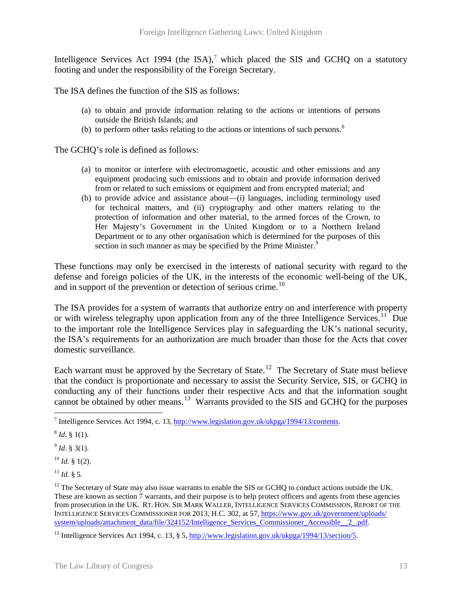Intelligence Services Act 1994 (the ISA),<sup>[7](#page-14-0)</sup> which placed the SIS and GCHQ on a statutory footing and under the responsibility of the Foreign Secretary.

The ISA defines the function of the SIS as follows:

- (a) to obtain and provide information relating to the actions or intentions of persons outside the British Islands; and
- (b) to perform other tasks relating to the actions or intentions of such persons. $8$

The GCHQ's role is defined as follows:

- (a) to monitor or interfere with electromagnetic, acoustic and other emissions and any equipment producing such emissions and to obtain and provide information derived from or related to such emissions or equipment and from encrypted material; and
- (b) to provide advice and assistance about—(i) languages, including terminology used for technical matters, and (ii) cryptography and other matters relating to the protection of information and other material, to the armed forces of the Crown, to Her Majesty's Government in the United Kingdom or to a Northern Ireland Department or to any other organisation which is determined for the purposes of this section in such manner as may be specified by the Prime Minister.<sup>[9](#page-14-2)</sup>

These functions may only be exercised in the interests of national security with regard to the defense and foreign policies of the UK, in the interests of the economic well-being of the UK, and in support of the prevention or detection of serious crime.<sup>10</sup>

The ISA provides for a system of warrants that authorize entry on and interference with property or with wireless telegraphy upon application from any of the three Intelligence Services.<sup>11</sup> Due to the important role the Intelligence Services play in safeguarding the UK's national security, the ISA's requirements for an authorization are much broader than those for the Acts that cover domestic surveillance.

Each warrant must be approved by the Secretary of State.<sup>[12](#page-14-5)</sup> The Secretary of State must believe that the conduct is proportionate and necessary to assist the Security Service, SIS, or GCHQ in conducting any of their functions under their respective Acts and that the information sought cannot be obtained by other means.<sup>[13](#page-14-6)</sup> Warrants provided to the SIS and GCHQ for the purposes

<span id="page-14-2"></span> $^{9}$  *Id.* § 3(1).

<span id="page-14-3"></span> $10$  *Id.* § 1(2).

<span id="page-14-4"></span> $^{11}$  *Id.* § 5.

<span id="page-14-0"></span> $^7$  Intelligence Services Act 1994, c. 13, [http://www.legislation.gov.uk/ukpga/1994/13/contents.](http://www.legislation.gov.uk/ukpga/1994/13/contents)

<span id="page-14-1"></span> $^{8}$  *Id.* § 1(1).

<span id="page-14-5"></span> $12$  The Secretary of State may also issue warrants to enable the SIS or GCHQ to conduct actions outside the UK. These are known as section 7 warrants, and their purpose is to help protect officers and agents from these agencies from prosecution in the UK. RT. HON. SIR MARK WALLER, INTELLIGENCE SERVICES COMMISSION, REPORT OF THE INTELLIGENCE SERVICES COMMISSIONER FOR 2013, H.C. 302, at 57, [https://www.gov.uk/government/uploads/](https://www.gov.uk/government/uploads/system/uploads/attachment_data/file/324152/Intelligence_Services_Commissioner_Accessible__2_.pdf)  system/uploads/attachment\_data/file/324152/Intelligence\_Services\_Commissioner\_Accessible\_2\_.pdf.

<span id="page-14-6"></span><sup>&</sup>lt;sup>13</sup> Intelligence Services Act 1994, c. 13, § 5, http://www.legislation.gov.uk/ukpga/1994/13/section/5.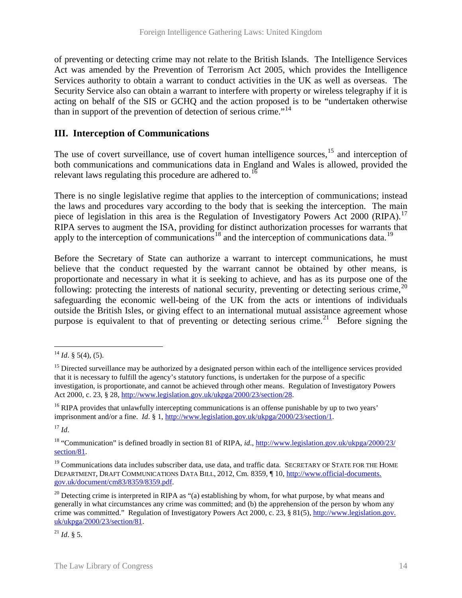of preventing or detecting crime may not relate to the British Islands. The Intelligence Services Act was amended by the Prevention of Terrorism Act 2005, which provides the Intelligence Services authority to obtain a warrant to conduct activities in the UK as well as overseas. The Security Service also can obtain a warrant to interfere with property or wireless telegraphy if it is acting on behalf of the SIS or GCHQ and the action proposed is to be "undertaken otherwise than in support of the prevention of detection of serious crime."<sup>[14](#page-15-0)</sup>

### **III. Interception of Communications**

The use of covert surveillance, use of covert human intelligence sources, <sup>[15](#page-15-1)</sup> and interception of both communications and communications data in England and Wales is allowed, provided the relevant laws regulating this procedure are adhered to.<sup>[16](#page-15-2)</sup>

There is no single legislative regime that applies to the interception of communications; instead the laws and procedures vary according to the body that is seeking the interception. The main piece of legislation in this area is the Regulation of Investigatory Powers Act 2000 (RIPA).<sup>[17](#page-15-3)</sup> RIPA serves to augment the ISA, providing for distinct authorization processes for warrants that apply to the interception of communications<sup>[18](#page-15-4)</sup> and the interception of communications data.<sup>[19](#page-15-5)</sup>

Before the Secretary of State can authorize a warrant to intercept communications, he must believe that the conduct requested by the warrant cannot be obtained by other means, is proportionate and necessary in what it is seeking to achieve, and has as its purpose one of the following: protecting the interests of national security, preventing or detecting serious crime,<sup>[20](#page-15-6)</sup> safeguarding the economic well-being of the UK from the acts or intentions of individuals outside the British Isles, or giving effect to an international mutual assistance agreement whose purpose is equivalent to that of preventing or detecting serious crime.<sup>[21](#page-15-7)</sup> Before signing the

<span id="page-15-3"></span><sup>17</sup> *Id*.

<span id="page-15-4"></span><sup>18</sup> "Communication" is defined broadly in section 81 of RIPA, *id*., [http://www.legislation.gov.uk/ukpga/2000/23/](http://www.legislation.gov.uk/ukpga/2000/23/section/81)  [section/81.](http://www.legislation.gov.uk/ukpga/2000/23/section/81)

<span id="page-15-7"></span> $^{21}$  *Id.* § 5.

<span id="page-15-0"></span> $^{14}$  *Id.* § 5(4), (5).

<span id="page-15-1"></span><sup>&</sup>lt;sup>15</sup> Directed surveillance may be authorized by a designated person within each of the intelligence services provided that it is necessary to fulfill the agency's statutory functions, is undertaken for the purpose of a specific investigation, is proportionate, and cannot be achieved through other means. Regulation of Investigatory Powers Act 2000, c. 23, § 28, [http://www.legislation.gov.uk/ukpga/2000/23/section/28.](http://www.legislation.gov.uk/ukpga/2000/23/section/28)

<span id="page-15-2"></span><sup>&</sup>lt;sup>16</sup> RIPA provides that unlawfully intercepting communications is an offense punishable by up to two years' imprisonment and/or a fine. *Id*. § 1, [http://www.legislation.gov.uk/ukpga/2000/23/section/1.](http://www.legislation.gov.uk/ukpga/2000/23/section/1) 

<span id="page-15-5"></span><sup>&</sup>lt;sup>19</sup> Communications data includes subscriber data, use data, and traffic data. SECRETARY OF STATE FOR THE HOME DEPARTMENT, DRAFT COMMUNICATIONS DATA BILL, 2012, Cm. 8359, ¶ 10[, http://www.official-documents.](http://www.official-documents.gov.uk/document/cm83/8359/8359.pdf)  [gov.uk/document/cm83/8359/8359.pdf.](http://www.official-documents.gov.uk/document/cm83/8359/8359.pdf)

<span id="page-15-6"></span> $^{20}$  Detecting crime is interpreted in RIPA as "(a) establishing by whom, for what purpose, by what means and generally in what circumstances any crime was committed; and (b) the apprehension of the person by whom any crime was committed." Regulation of Investigatory Powers Act 2000, c. 23, § 81(5), [http://www.legislation.gov.](http://www.legislation.gov.uk/ukpga/2000/23/section/81)  [uk/ukpga/2000/23/section/81.](http://www.legislation.gov.uk/ukpga/2000/23/section/81)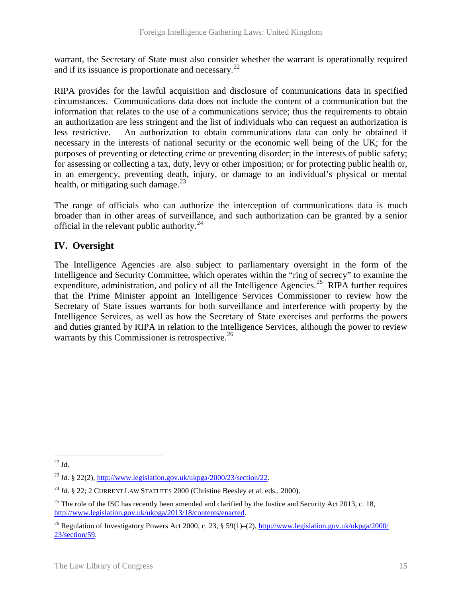warrant, the Secretary of State must also consider whether the warrant is operationally required and if its issuance is proportionate and necessary.<sup>[22](#page-16-0)</sup>

RIPA provides for the lawful acquisition and disclosure of communications data in specified circumstances. Communications data does not include the content of a communication but the information that relates to the use of a communications service; thus the requirements to obtain an authorization are less stringent and the list of individuals who can request an authorization is less restrictive. An authorization to obtain communications data can only be obtained if necessary in the interests of national security or the economic well being of the UK; for the purposes of preventing or detecting crime or preventing disorder; in the interests of public safety; for assessing or collecting a tax, duty, levy or other imposition; or for protecting public health or, in an emergency, preventing death, injury, or damage to an individual's physical or mental health, or mitigating such damage. $^{23}$  $^{23}$  $^{23}$ 

The range of officials who can authorize the interception of communications data is much broader than in other areas of surveillance, and such authorization can be granted by a senior official in the relevant public authority. $^{24}$  $^{24}$  $^{24}$ 

# **IV. Oversight**

The Intelligence Agencies are also subject to parliamentary oversight in the form of the Intelligence and Security Committee, which operates within the "ring of secrecy" to examine the expenditure, administration, and policy of all the Intelligence Agencies.<sup>[25](#page-16-3)</sup> RIPA further requires that the Prime Minister appoint an Intelligence Services Commissioner to review how the Secretary of State issues warrants for both surveillance and interference with property by the Intelligence Services, as well as how the Secretary of State exercises and performs the powers and duties granted by RIPA in relation to the Intelligence Services, although the power to review warrants by this Commissioner is retrospective.<sup>[26](#page-16-4)</sup>

<span id="page-16-0"></span><sup>22</sup> *Id*.  $\overline{a}$ 

<span id="page-16-1"></span><sup>&</sup>lt;sup>23</sup> *Id.* § 22(2)[, http://www.legislation.gov.uk/ukpga/2000/23/section/22.](http://www.legislation.gov.uk/ukpga/2000/23/section/22)

<span id="page-16-2"></span><sup>&</sup>lt;sup>24</sup> *Id.* § 22; 2 CURRENT LAW STATUTES 2000 (Christine Beesley et al. eds., 2000).

<span id="page-16-3"></span> $^{25}$  The role of the ISC has recently been amended and clarified by the Justice and Security Act 2013, c. 18, [http://www.legislation.gov.uk/ukpga/2013/18/contents/enacted.](http://www.legislation.gov.uk/ukpga/2013/18/contents/enacted)

<span id="page-16-4"></span><sup>&</sup>lt;sup>26</sup> Regulation of Investigatory Powers Act 2000, c. 23, § 59(1)–(2), http://www.legislation.gov.uk/ukpga/2000/ [23/section/59.](http://www.legislation.gov.uk/ukpga/2000/23/section/59)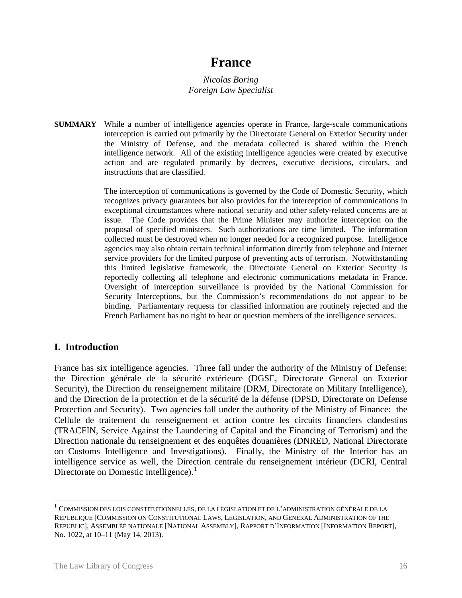# **France**

*Nicolas Boring Foreign Law Specialist*

**SUMMARY** While a number of intelligence agencies operate in France, large-scale communications interception is carried out primarily by the Directorate General on Exterior Security under the Ministry of Defense, and the metadata collected is shared within the French intelligence network. All of the existing intelligence agencies were created by executive action and are regulated primarily by decrees, executive decisions, circulars, and instructions that are classified.

> The interception of communications is governed by the Code of Domestic Security, which recognizes privacy guarantees but also provides for the interception of communications in exceptional circumstances where national security and other safety-related concerns are at issue. The Code provides that the Prime Minister may authorize interception on the proposal of specified ministers. Such authorizations are time limited. The information collected must be destroyed when no longer needed for a recognized purpose. Intelligence agencies may also obtain certain technical information directly from telephone and Internet service providers for the limited purpose of preventing acts of terrorism. Notwithstanding this limited legislative framework, the Directorate General on Exterior Security is reportedly collecting all telephone and electronic communications metadata in France. Oversight of interception surveillance is provided by the National Commission for Security Interceptions, but the Commission's recommendations do not appear to be binding. Parliamentary requests for classified information are routinely rejected and the French Parliament has no right to hear or question members of the intelligence services.

### **I. Introduction**

France has six intelligence agencies. Three fall under the authority of the Ministry of Defense: the Direction générale de la sécurité extérieure (DGSE, Directorate General on Exterior Security), the Direction du renseignement militaire (DRM, Directorate on Military Intelligence), and the Direction de la protection et de la sécurité de la défense (DPSD, Directorate on Defense Protection and Security). Two agencies fall under the authority of the Ministry of Finance: the Cellule de traitement du renseignement et action contre les circuits financiers clandestins (TRACFIN, Service Against the Laundering of Capital and the Financing of Terrorism) and the Direction nationale du renseignement et des enquêtes douanières (DNRED, National Directorate on Customs Intelligence and Investigations). Finally, the Ministry of the Interior has an intelligence service as well, the Direction centrale du renseignement intérieur (DCRI, Central Directorate on Domestic Intelligence).<sup>[1](#page-17-0)</sup>

 $\overline{a}$ 

<span id="page-17-0"></span> $^1$  COMMISSION DES LOIS CONSTITUTIONNELLES, DE LA LÉGISLATION ET DE L'ADMINISTRATION GÉNÉRALE DE LA RÉPUBLIQUE [COMMISSION ON CONSTITUTIONAL LAWS, LEGISLATION, AND GENERAL ADMINISTRATION OF THE REPUBLIC], ASSEMBLÉE NATIONALE [NATIONAL ASSEMBLY], RAPPORT D'INFORMATION [INFORMATION REPORT], No. 1022, at 10–11 (May 14, 2013).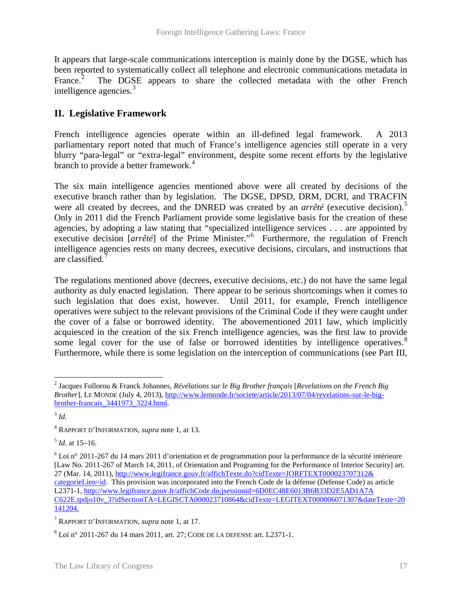It appears that large-scale communications interception is mainly done by the DGSE, which has been reported to systematically collect all telephone and electronic communications metadata in France.<sup>[2](#page-18-0)</sup> The DGSE appears to share the collected metadata with the other French intelligence agencies.<sup>[3](#page-18-1)</sup>

# **II. Legislative Framework**

French intelligence agencies operate within an ill-defined legal framework. A 2013 parliamentary report noted that much of France's intelligence agencies still operate in a very blurry "para-legal" or "extra-legal" environment, despite some recent efforts by the legislative branch to provide a better framework.<sup>[4](#page-18-2)</sup>

The six main intelligence agencies mentioned above were all created by decisions of the executive branch rather than by legislation. The DGSE, DPSD, DRM, DCRI, and TRACFIN were all created by decrees, and the DNRED was created by an *arrêté* (executive decision).<sup>[5](#page-18-3)</sup> Only in 2011 did the French Parliament provide some legislative basis for the creation of these agencies, by adopting a law stating that "specialized intelligence services . . . are appointed by executive decision [arrêté] of the Prime Minister."<sup>[6](#page-18-4)</sup> Furthermore, the regulation of French intelligence agencies rests on many decrees, executive decisions, circulars, and instructions that are classified.<sup>[7](#page-18-5)</sup>

The regulations mentioned above (decrees, executive decisions, etc.) do not have the same legal authority as duly enacted legislation. There appear to be serious shortcomings when it comes to such legislation that does exist, however. Until 2011, for example, French intelligence operatives were subject to the relevant provisions of the Criminal Code if they were caught under the cover of a false or borrowed identity. The abovementioned 2011 law, which implicitly acquiesced in the creation of the six French intelligence agencies, was the first law to provide some legal cover for the use of false or borrowed identities by intelligence operatives.<sup>[8](#page-18-6)</sup> Furthermore, while there is some legislation on the interception of communications (see Part III,

<span id="page-18-3"></span> $<sup>5</sup>$  *Id.* at 15–16.</sup>

<span id="page-18-0"></span><sup>2</sup> Jacques Follorou & Franck Johannes, *Révélations sur le Big Brother français* [*Revelations on the French Big Brother*], LE MONDE (July 4, 2013), [http://www.lemonde.fr/societe/article/2013/07/04/revelations-sur-le-big](http://www.lemonde.fr/societe/article/2013/07/04/revelations-sur-le-big-brother-francais_3441973_3224.html)[brother-francais\\_3441973\\_3224.html.](http://www.lemonde.fr/societe/article/2013/07/04/revelations-sur-le-big-brother-francais_3441973_3224.html)  $\overline{a}$ 

<span id="page-18-1"></span><sup>3</sup> *Id.*

<span id="page-18-2"></span><sup>4</sup> RAPPORT D'INFORMATION, *supra* note 1, at 13.

<span id="page-18-4"></span> $6$  Loi n° 2011-267 du 14 mars 2011 d'orientation et de programmation pour la performance de la sécurité intérieure [Law No. 2011-267 of March 14, 2011, of Orientation and Programing for the Performance of Interior Security] art. 27 (Mar. 14, 2011), [http://www.legifrance.gouv.fr/affichTexte.do?cidTexte=JORFTEXT000023707312&](http://www.legifrance.gouv.fr/affichTexte.do?cidTexte=JORFTEXT000023707312&categorieLien=id)  [categorieLien=id.](http://www.legifrance.gouv.fr/affichTexte.do?cidTexte=JORFTEXT000023707312&categorieLien=id) This provision was incorporated into the French Code de la défense (Defense Code) as article L2371-1, [http://www.legifrance.gouv.fr/affichCode.do;jsessionid=6D0EC48E6013B6B33D2E5AD1A7A](http://www.legifrance.gouv.fr/affichCode.do;jsessionid=6D0EC48E6013B6B33D2E5AD1A7AC622E.tpdjo10v_3?idSectionTA=LEGISCTA000023710864&cidTexte=LEGITEXT000006071307&dateTexte=20141204)  [C622E.tpdjo10v\\_3?idSectionTA=LEGISCTA000023710864&cidTexte=LEGITEXT000006071307&dateTexte=20](http://www.legifrance.gouv.fr/affichCode.do;jsessionid=6D0EC48E6013B6B33D2E5AD1A7AC622E.tpdjo10v_3?idSectionTA=LEGISCTA000023710864&cidTexte=LEGITEXT000006071307&dateTexte=20141204) [141204.](http://www.legifrance.gouv.fr/affichCode.do;jsessionid=6D0EC48E6013B6B33D2E5AD1A7AC622E.tpdjo10v_3?idSectionTA=LEGISCTA000023710864&cidTexte=LEGITEXT000006071307&dateTexte=20141204)

<span id="page-18-5"></span><sup>7</sup> RAPPORT D'INFORMATION, *supra* note 1, at 17.

<span id="page-18-6"></span> $8$  Loi n° 2011-267 du 14 mars 2011, art. 27; CODE DE LA DEFENSE art. L2371-1.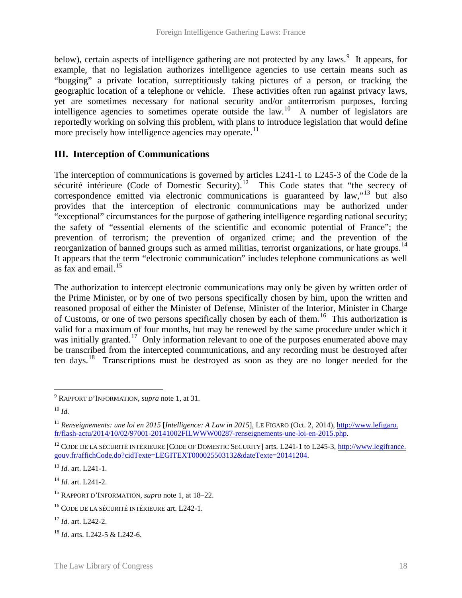below), certain aspects of intelligence gathering are not protected by any laws.<sup>[9](#page-19-0)</sup> It appears, for example, that no legislation authorizes intelligence agencies to use certain means such as "bugging" a private location, surreptitiously taking pictures of a person, or tracking the geographic location of a telephone or vehicle. These activities often run against privacy laws, yet are sometimes necessary for national security and/or antiterrorism purposes, forcing intelligence agencies to sometimes operate outside the law.<sup>[10](#page-19-1)</sup> A number of legislators are reportedly working on solving this problem, with plans to introduce legislation that would define more precisely how intelligence agencies may operate.<sup>[11](#page-19-2)</sup>

# **III. Interception of Communications**

The interception of communications is governed by articles L241-1 to L245-3 of the Code de la sécurité intérieure (Code of Domestic Security).<sup>12</sup> This Code states that "the secrecy of correspondence emitted via electronic communications is guaranteed by law,"<sup>[13](#page-19-4)</sup> but also provides that the interception of electronic communications may be authorized under "exceptional" circumstances for the purpose of gathering intelligence regarding national security; the safety of "essential elements of the scientific and economic potential of France"; the prevention of terrorism; the prevention of organized crime; and the prevention of the reorganization of banned groups such as armed militias, terrorist organizations, or hate groups.<sup>[14](#page-19-5)</sup> It appears that the term "electronic communication" includes telephone communications as well as fax and email. $15$ 

The authorization to intercept electronic communications may only be given by written order of the Prime Minister, or by one of two persons specifically chosen by him, upon the written and reasoned proposal of either the Minister of Defense, Minister of the Interior, Minister in Charge of Customs, or one of two persons specifically chosen by each of them.<sup>[16](#page-19-7)</sup> This authorization is valid for a maximum of four months, but may be renewed by the same procedure under which it was initially granted.<sup>[17](#page-19-8)</sup> Only information relevant to one of the purposes enumerated above may be transcribed from the intercepted communications, and any recording must be destroyed after ten days.<sup>18</sup> Transcriptions must be destroyed as soon as they are no longer needed for the

<span id="page-19-5"></span><sup>14</sup> *Id.* art. L241-2.

<span id="page-19-1"></span><span id="page-19-0"></span><sup>9</sup> RAPPORT D'INFORMATION, *supra* note 1, at 31.

<span id="page-19-2"></span><sup>10</sup> *Id.*

<span id="page-19-3"></span><sup>11</sup> *Renseignements: une loi en 2015* [*Intelligence: A Law in 2015*], LE FIGARO (Oct. 2, 2014), [http://www.lefigaro.](http://www.lefigaro.fr/flash-actu/2014/10/02/97001-20141002FILWWW00287-renseignements-une-loi-en-2015.php)  [fr/flash-actu/2014/10/02/97001-20141002FILWWW00287-renseignements-une-loi-en-2015.php.](http://www.lefigaro.fr/flash-actu/2014/10/02/97001-20141002FILWWW00287-renseignements-une-loi-en-2015.php)

<span id="page-19-4"></span><sup>&</sup>lt;sup>12</sup> CODE DE LA SÉCURITÉ INTÉRIEURE [CODE OF DOMESTIC SECURITY] arts. L241-1 to L245-3, http://www.legifrance. [gouv.fr/affichCode.do?cidTexte=LEGITEXT000025503132&dateTexte=20141204.](http://www.legifrance.gouv.fr/affichCode.do?cidTexte=LEGITEXT000025503132&dateTexte=20141204)

<sup>13</sup> *Id.* art. L241-1.

<span id="page-19-6"></span><sup>15</sup> RAPPORT D'INFORMATION, *supra* note 1, at 18–22.

<span id="page-19-7"></span><sup>16</sup> CODE DE LA SÉCURITÉ INTÉRIEURE art. L242-1.

<span id="page-19-8"></span><sup>17</sup> *Id.* art. L242-2.

<span id="page-19-9"></span><sup>18</sup> *Id*. arts. L242-5 & L242-6.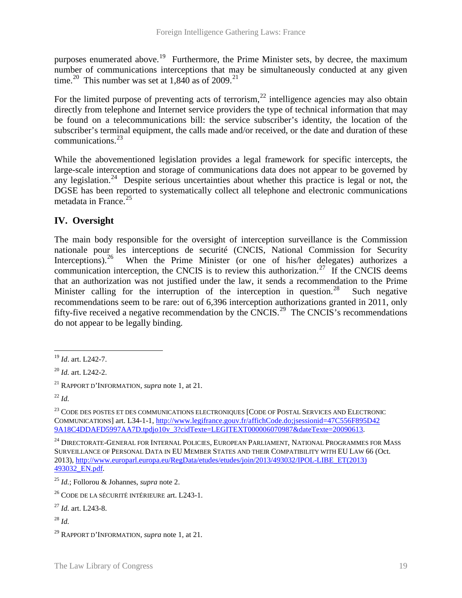purposes enumerated above.<sup>19</sup> Furthermore, the Prime Minister sets, by decree, the maximum number of communications interceptions that may be simultaneously conducted at any given time.<sup>[20](#page-20-1)</sup> This number was set at 1.840 as of 2009.<sup>[21](#page-20-2)</sup>

For the limited purpose of preventing acts of terrorism,  $22$  intelligence agencies may also obtain directly from telephone and Internet service providers the type of technical information that may be found on a telecommunications bill: the service subscriber's identity, the location of the subscriber's terminal equipment, the calls made and/or received, or the date and duration of these communications. $^{23}$ 

While the abovementioned legislation provides a legal framework for specific intercepts, the large-scale interception and storage of communications data does not appear to be governed by any legislation.<sup>[24](#page-20-5)</sup> Despite serious uncertainties about whether this practice is legal or not, the DGSE has been reported to systematically collect all telephone and electronic communications metadata in France. $25$ 

# **IV. Oversight**

The main body responsible for the oversight of interception surveillance is the Commission nationale pour les interceptions de securité (CNCIS, National Commission for Security Interceptions).<sup>[26](#page-20-7)</sup> When the Prime Minister (or one of his/her delegates) authorizes a communication interception, the CNCIS is to review this authorization.<sup>[27](#page-20-8)</sup> If the CNCIS deems that an authorization was not justified under the law, it sends a recommendation to the Prime Minister calling for the interruption of the interception in question.<sup>28</sup> Such negative recommendations seem to be rare: out of 6,396 interception authorizations granted in 2011, only fifty-five received a negative recommendation by the CNCIS.<sup>[29](#page-20-10)</sup> The CNCIS's recommendations do not appear to be legally binding.

<sup>19</sup> *Id*. art. L242-7.  $\overline{a}$ 

<span id="page-20-1"></span><span id="page-20-0"></span><sup>20</sup> *Id.* art. L242-2.

<span id="page-20-2"></span><sup>21</sup> RAPPORT D'INFORMATION, *supra* note 1, at 21.

<span id="page-20-3"></span><sup>22</sup> *Id.*

<span id="page-20-4"></span><sup>&</sup>lt;sup>23</sup> CODE DES POSTES ET DES COMMUNICATIONS ELECTRONIQUES [CODE OF POSTAL SERVICES AND ELECTRONIC COMMUNICATIONS] art. L34-1-1[, http://www.legifrance.gouv.fr/affichCode.do;jsessionid=47C556F895D42](http://www.legifrance.gouv.fr/affichCode.do;jsessionid=47C556F895D429A18C4DDAFD5997AA7D.tpdjo10v_3?cidTexte=LEGITEXT000006070987&dateTexte=20090613)  [9A18C4DDAFD5997AA7D.tpdjo10v\\_3?cidTexte=LEGITEXT000006070987&dateTexte=20090613.](http://www.legifrance.gouv.fr/affichCode.do;jsessionid=47C556F895D429A18C4DDAFD5997AA7D.tpdjo10v_3?cidTexte=LEGITEXT000006070987&dateTexte=20090613) 

<span id="page-20-5"></span><sup>&</sup>lt;sup>24</sup> DIRECTORATE-GENERAL FOR INTERNAL POLICIES, EUROPEAN PARLIAMENT, NATIONAL PROGRAMMES FOR MASS SURVEILLANCE OF PERSONAL DATA IN EU MEMBER STATES AND THEIR COMPATIBILITY WITH EU LAW 66 (Oct. 2013), [http://www.europarl.europa.eu/RegData/etudes/etudes/join/2013/493032/IPOL-LIBE\\_ET\(2013\)](http://www.europarl.europa.eu/RegData/etudes/etudes/join/2013/493032/IPOL-LIBE_ET(2013)493032_EN.pdf)  [493032\\_EN.pdf.](http://www.europarl.europa.eu/RegData/etudes/etudes/join/2013/493032/IPOL-LIBE_ET(2013)493032_EN.pdf)

<span id="page-20-6"></span><sup>25</sup> *Id.*; Follorou & Johannes, *supra* note 2.

<span id="page-20-7"></span><sup>26</sup> CODE DE LA SÉCURITÉ INTÉRIEURE art. L243-1.

<span id="page-20-8"></span><sup>27</sup> *Id.* art. L243-8.

<span id="page-20-9"></span><sup>28</sup> *Id.*

<span id="page-20-10"></span><sup>29</sup> RAPPORT D'INFORMATION, *supra* note 1, at 21.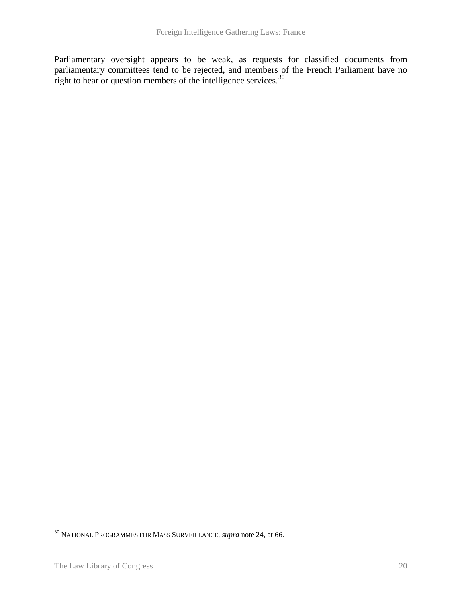Parliamentary oversight appears to be weak, as requests for classified documents from parliamentary committees tend to be rejected, and members of the French Parliament have no right to hear or question members of the intelligence services.<sup>[30](#page-21-0)</sup>

 $\overline{a}$ 

<span id="page-21-0"></span><sup>30</sup> NATIONAL PROGRAMMES FOR MASS SURVEILLANCE, *supra* note 24, at 66.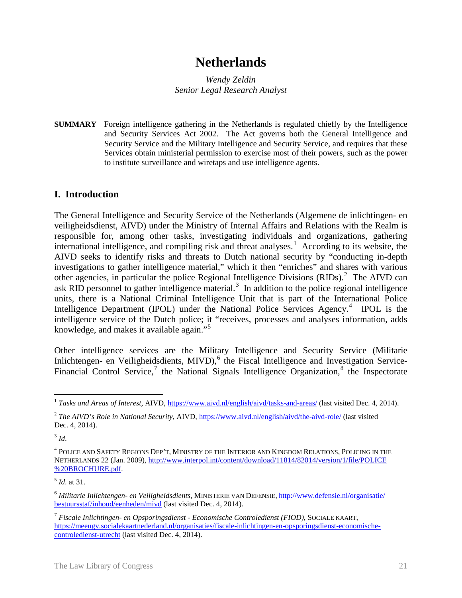# **Netherlands**

*Wendy Zeldin Senior Legal Research Analyst*

**SUMMARY** Foreign intelligence gathering in the Netherlands is regulated chiefly by the Intelligence and Security Services Act 2002. The Act governs both the General Intelligence and Security Service and the Military Intelligence and Security Service, and requires that these Services obtain ministerial permission to exercise most of their powers, such as the power to institute surveillance and wiretaps and use intelligence agents.

### **I. Introduction**

<span id="page-22-7"></span>The General Intelligence and Security Service of the Netherlands (Algemene de inlichtingen- en veiligheidsdienst, AIVD) under the Ministry of Internal Affairs and Relations with the Realm is responsible for, among other tasks, investigating individuals and organizations, gathering international intelligence, and compiling risk and threat analyses.<sup>[1](#page-22-0)</sup> According to its website, the AIVD seeks to identify risks and threats to Dutch national security by "conducting in-depth investigations to gather intelligence material," which it then "enriches" and shares with various other agencies, in particular the police Regional Intelligence Divisions  $(RIDs)$ .<sup>[2](#page-22-1)</sup> The AIVD can ask RID personnel to gather intelligence material.<sup>[3](#page-22-2)</sup> In addition to the police regional intelligence units, there is a National Criminal Intelligence Unit that is part of the International Police Intelligence Department (IPOL) under the National Police Services Agency.<sup>[4](#page-22-3)</sup> IPOL is the intelligence service of the Dutch police; it "receives, processes and analyses information, adds knowledge, and makes it available again."<sup>[5](#page-22-4)</sup>

Other intelligence services are the Military Intelligence and Security Service (Militarie Inlichtengen- en Veiligheidsdients, MIVD),<sup>[6](#page-22-5)</sup> the Fiscal Intelligence and Investigation Service-Financial Control Service,<sup>[7](#page-22-6)</sup> the National Signals Intelligence Organization,<sup>[8](#page-22-7)</sup> the Inspectorate

<span id="page-22-2"></span><sup>3</sup> *Id*.

<sup>&</sup>lt;sup>1</sup> Tasks and Areas of Interest, AIVD,<https://www.aivd.nl/english/aivd/tasks-and-areas/> (last visited Dec. 4, 2014).  $\overline{a}$ 

<span id="page-22-1"></span><span id="page-22-0"></span><sup>2</sup> *The AIVD's Role in National Security*, AIVD,<https://www.aivd.nl/english/aivd/the-aivd-role/> (last visited Dec. 4, 2014).

<span id="page-22-3"></span><sup>4</sup> POLICE AND SAFETY REGIONS DEP'T, MINISTRY OF THE INTERIOR AND KINGDOM RELATIONS, POLICING IN THE NETHERLANDS 22 (Jan. 2009)[, http://www.interpol.int/content/download/11814/82014/version/1/file/POLICE](http://www.interpol.int/content/download/11814/82014/version/1/file/POLICE%20BROCHURE.pdf)  [%20BROCHURE.pdf.](http://www.interpol.int/content/download/11814/82014/version/1/file/POLICE%20BROCHURE.pdf)

<span id="page-22-4"></span><sup>5</sup> *Id*. at 31.

<span id="page-22-5"></span><sup>6</sup> *Militarie Inlichtengen- en Veiligheidsdients*, MINISTERIE VAN DEFENSIE, [http://www.defensie.nl/organisatie/](http://www.defensie.nl/organisatie/bestuursstaf/inhoud/eenheden/mivd)  [bestuursstaf/inhoud/eenheden/mivd](http://www.defensie.nl/organisatie/bestuursstaf/inhoud/eenheden/mivd) (last visited Dec. 4, 2014).

<span id="page-22-6"></span><sup>7</sup> *Fiscale Inlichtingen- en Opsporingsdienst - Economische Controledienst (FIOD)*, SOCIALE KAART, [https://meeugv.socialekaartnederland.nl/organisaties/fiscale-inlichtingen-en-opsporingsdienst-economische](https://meeugv.socialekaartnederland.nl/organisaties/fiscale-inlichtingen-en-opsporingsdienst-economische-controledienst-utrecht)[controledienst-utrecht](https://meeugv.socialekaartnederland.nl/organisaties/fiscale-inlichtingen-en-opsporingsdienst-economische-controledienst-utrecht) (last visited Dec. 4, 2014).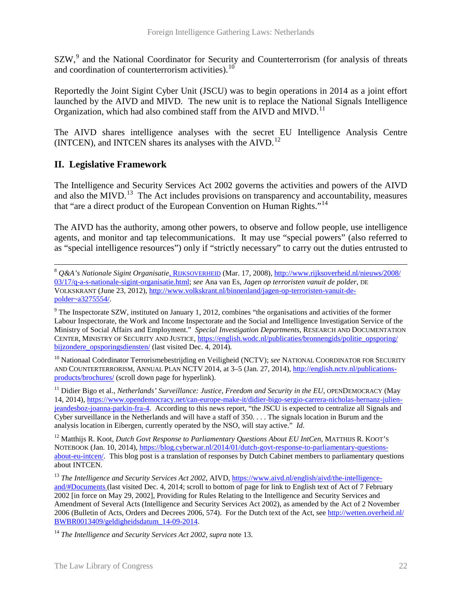SZW,<sup>[9](#page-23-0)</sup> and the National Coordinator for Security and Counterterrorism (for analysis of threats and coordination of counterterrorism activities).  $10$ 

Reportedly the Joint Sigint Cyber Unit (JSCU) was to begin operations in 2014 as a joint effort launched by the AIVD and MIVD. The new unit is to replace the National Signals Intelligence Organization, which had also combined staff from the AIVD and MIVD.<sup>[11](#page-23-2)</sup>

The AIVD shares intelligence analyses with the secret EU Intelligence Analysis Centre (INTCEN), and INTCEN shares its analyses with the  $AIVD<sup>12</sup>$  $AIVD<sup>12</sup>$  $AIVD<sup>12</sup>$ 

# **II. Legislative Framework**

 $\overline{a}$ 

The Intelligence and Security Services Act 2002 governs the activities and powers of the AIVD and also the MIVD.<sup>[13](#page-23-4)</sup> The Act includes provisions on transparency and accountability, measures that "are a direct product of the European Convention on Human Rights."[14](#page-23-5)

The AIVD has the authority, among other powers, to observe and follow people, use intelligence agents, and monitor and tap telecommunications. It may use "special powers" (also referred to as "special intelligence resources") only if "strictly necessary" to carry out the duties entrusted to

<span id="page-23-1"></span><sup>10</sup> Nationaal Coördinator Terrorismebestrijding en Veiligheid (NCTV); see NATIONAL COORDINATOR FOR SECURITY AND COUNTERTERRORISM, ANNUAL PLAN NCTV 2014, at 3–5 (Jan. 27, 2014), [http://english.nctv.nl/publications](http://english.nctv.nl/publications-products/brochures/)[products/brochures/](http://english.nctv.nl/publications-products/brochures/) (scroll down page for hyperlink).

<span id="page-23-2"></span><sup>11</sup> Didier Bigo et al., *Netherlands' Surveillance: Justice, Freedom and Security in the EU*, OPENDEMOCRACY (May 14, 2014), [https://www.opendemocracy.net/can-europe-make-it/didier-bigo-sergio-carrera-nicholas-hernanz-julien](https://www.opendemocracy.net/can-europe-make-it/didier-bigo-sergio-carrera-nicholas-hernanz-julien-jeandesboz-joanna-parkin-fra-4)[jeandesboz-joanna-parkin-fra-4.](https://www.opendemocracy.net/can-europe-make-it/didier-bigo-sergio-carrera-nicholas-hernanz-julien-jeandesboz-joanna-parkin-fra-4) According to this news report, "the JSCU is expected to centralize all Signals and Cyber surveillance in the Netherlands and will have a staff of 350. . . . The signals location in Burum and the analysis location in Eibergen, currently operated by the NSO, will stay active." *Id*.

<span id="page-23-3"></span><sup>12</sup> Matthiis R. Koot, *Dutch Govt Response to Parliamentary Questions About EU IntCen*, MATTHIJS R. KOOT'S NOTEBOOK (Jan. 10, 2014), [https://blog.cyberwar.nl/2014/01/dutch-govt-response-to-parliamentary-questions](https://blog.cyberwar.nl/2014/01/dutch-govt-response-to-parliamentary-questions-about-eu-intcen/)[about-eu-intcen/.](https://blog.cyberwar.nl/2014/01/dutch-govt-response-to-parliamentary-questions-about-eu-intcen/) This blog post is a translation of responses by Dutch Cabinet members to parliamentary questions about INTCEN.

<span id="page-23-4"></span><sup>13</sup> The Intelligence and Security Services Act 2002, AIVD[, https://www.aivd.nl/english/aivd/the-intelligence](https://www.aivd.nl/english/aivd/the-intelligence-and/%23Documents)[and/#Documents](https://www.aivd.nl/english/aivd/the-intelligence-and/%23Documents) (last visited Dec. 4, 2014; scroll to bottom of page for link to English text of Act of 7 February 2002 [in force on May 29, 2002], Providing for Rules Relating to the Intelligence and Security Services and Amendment of Several Acts (Intelligence and Security Services Act 2002), as amended by the Act of 2 November 2006 (Bulletin of Acts, Orders and Decrees 2006, 574). For the Dutch text of the Act, see [http://wetten.overheid.nl/](http://wetten.overheid.nl/BWBR0013409/geldigheidsdatum_14-09-2014)  [BWBR0013409/geldigheidsdatum\\_14-09-2014.](http://wetten.overheid.nl/BWBR0013409/geldigheidsdatum_14-09-2014)

<span id="page-23-5"></span><sup>14</sup> *The Intelligence and Security Services Act 2002*, *supra* note 13.

<sup>8</sup> *Q&A's Nationale Sigint Organisatie*, RIJKSOVERHEID (Mar. 17, 2008)[, http://www.rijksoverheid.nl/nieuws/2008/](http://www.rijksoverheid.nl/nieuws/2008/03/17/q-a-s-nationale-sigint-organisatie.html) [03/17/q-a-s-nationale-sigint-organisatie.html;](http://www.rijksoverheid.nl/nieuws/2008/03/17/q-a-s-nationale-sigint-organisatie.html) *see* Ana van Es, *Jagen op terroristen vanuit de polder*, DE VOLKSKRANT (June 23, 2012)[, http://www.volkskrant.nl/binnenland/jagen-op-terroristen-vanuit-de](http://www.volkskrant.nl/binnenland/jagen-op-terroristen-vanuit-de-polder%7Ea3275554/)[polder~a3275554/.](http://www.volkskrant.nl/binnenland/jagen-op-terroristen-vanuit-de-polder%7Ea3275554/)

<span id="page-23-0"></span> $9$  The Inspectorate SZW, instituted on January 1, 2012, combines "the organisations and activities of the former Labour Inspectorate, the Work and Income Inspectorate and the Social and Intelligence Investigation Service of the Ministry of Social Affairs and Employment." *Special Investigation Departments*, RESEARCH AND DOCUMENTATION CENTER, MINISTRY OF SECURITY AND JUSTICE, [https://english.wodc.nl/publicaties/bronnengids/politie\\_opsporing/](https://english.wodc.nl/publicaties/bronnengids/politie_opsporing/bijzondere_opsporingsdiensten/)  bijzondere opsporingsdiensten/ (last visited Dec. 4, 2014).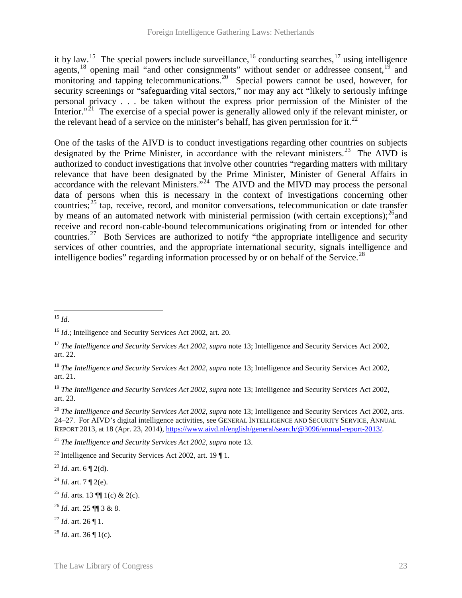it by law.<sup>15</sup> The special powers include surveillance, <sup>[16](#page-24-1)</sup> conducting searches, <sup>[17](#page-24-2)</sup> using intelligence agents,<sup>[18](#page-24-3)</sup> opening mail "and other consignments" without sender or addressee consent.<sup>[19](#page-24-4)</sup> and monitoring and tapping telecommunications.<sup>[20](#page-24-5)</sup> Special powers cannot be used, however, for security screenings or "safeguarding vital sectors," nor may any act "likely to seriously infringe personal privacy . . . be taken without the express prior permission of the Minister of the Interior."<sup>[21](#page-24-6)</sup> The exercise of a special power is generally allowed only if the relevant minister, or the relevant head of a service on the minister's behalf, has given permission for it.<sup>[22](#page-24-7)</sup>

One of the tasks of the AIVD is to conduct investigations regarding other countries on subjects designated by the Prime Minister, in accordance with the relevant ministers.<sup>[23](#page-24-8)</sup> The AIVD is authorized to conduct investigations that involve other countries "regarding matters with military relevance that have been designated by the Prime Minister, Minister of General Affairs in accordance with the relevant Ministers."<sup>24</sup> The AIVD and the MIVD may process the personal data of persons when this is necessary in the context of investigations concerning other countries; $^{25}$  $^{25}$  $^{25}$  tap, receive, record, and monitor conversations, telecommunication or date transfer by means of an automated network with ministerial permission (with certain exceptions); $^{26}$ and receive and record non-cable-bound telecommunications originating from or intended for other countries.<sup>27</sup> Both Services are authorized to notify "the appropriate intelligence and security services of other countries, and the appropriate international security, signals intelligence and intelligence bodies" regarding information processed by or on behalf of the Service.<sup>28</sup>

<span id="page-24-0"></span><sup>15</sup> *Id*.  $\overline{a}$ 

<span id="page-24-1"></span><sup>16</sup> *Id*.; Intelligence and Security Services Act 2002, art. 20.

<span id="page-24-2"></span><sup>17</sup> *The Intelligence and Security Services Act 2002*, *supra* note 13; Intelligence and Security Services Act 2002, art. 22.

<span id="page-24-3"></span><sup>18</sup> *The Intelligence and Security Services Act 2002*, *supra* note 13; Intelligence and Security Services Act 2002, art. 21.

<span id="page-24-4"></span><sup>19</sup> *The Intelligence and Security Services Act 2002*, *supra* note 13; Intelligence and Security Services Act 2002, art. 23.

<span id="page-24-5"></span><sup>20</sup> *The Intelligence and Security Services Act 2002*, *supra* note 13; Intelligence and Security Services Act 2002, arts. 24–27. For AIVD's digital intelligence activities, see GENERAL INTELLIGENCE AND SECURITY SERVICE, ANNUAL REPORT 2013, at 18 (Apr. 23, 2014), [https://www.aivd.nl/english/general/search/@3096/annual-report-2013/.](https://www.aivd.nl/english/general/search/@3096/annual-report-2013/) 

<span id="page-24-6"></span><sup>21</sup> *The Intelligence and Security Services Act 2002*, *supra* note 13.

<span id="page-24-7"></span><sup>&</sup>lt;sup>22</sup> Intelligence and Security Services Act 2002, art. 19  $\P$  1.

<span id="page-24-8"></span> $^{23}$  *Id.* art. 6 ¶ 2(d).

<span id="page-24-9"></span> $^{24}$  *Id.* art. 7 ¶ 2(e).

<span id="page-24-10"></span><sup>&</sup>lt;sup>25</sup> *Id.* arts. 13  $\P$  1(c) & 2(c).

<span id="page-24-11"></span><sup>26</sup> *Id*. art. 25 ¶¶ 3 & 8.

<span id="page-24-12"></span> $^{27}$  *Id.* art. 26 ¶ 1.

<span id="page-24-13"></span><sup>28</sup> *Id*. art. 36 ¶ 1(c).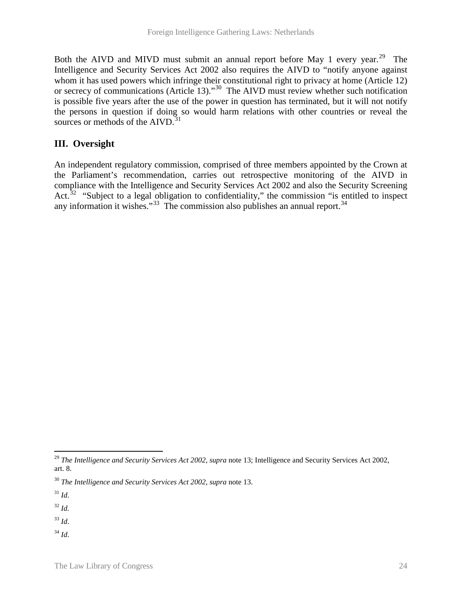Both the AIVD and MIVD must submit an annual report before May 1 every year.<sup>29</sup> The Intelligence and Security Services Act 2002 also requires the AIVD to "notify anyone against whom it has used powers which infringe their constitutional right to privacy at home (Article 12) or secrecy of communications (Article 13)."<sup>30</sup> The AIVD must review whether such notification is possible five years after the use of the power in question has terminated, but it will not notify the persons in question if doing so would harm relations with other countries or reveal the sources or methods of the  $AIVD$ .<sup>[31](#page-25-2)</sup>

# **III. Oversight**

An independent regulatory commission, comprised of three members appointed by the Crown at the Parliament's recommendation, carries out retrospective monitoring of the AIVD in compliance with the Intelligence and Security Services Act 2002 and also the Security Screening Act.<sup>[32](#page-25-3)</sup> "Subject to a legal obligation to confidentiality," the commission "is entitled to inspect any information it wishes." $33$  The commission also publishes an annual report. $34$ 

<span id="page-25-2"></span><sup>31</sup> *Id*.

<span id="page-25-3"></span><sup>32</sup> *Id.*

<span id="page-25-4"></span><sup>33</sup> *Id*.

<span id="page-25-5"></span><sup>34</sup> *Id*.

<span id="page-25-0"></span><sup>29</sup> *The Intelligence and Security Services Act 2002*, *supra* note 13; Intelligence and Security Services Act 2002, art. 8.  $\overline{a}$ 

<span id="page-25-1"></span><sup>30</sup> *The Intelligence and Security Services Act 2002*, *supra* note 13.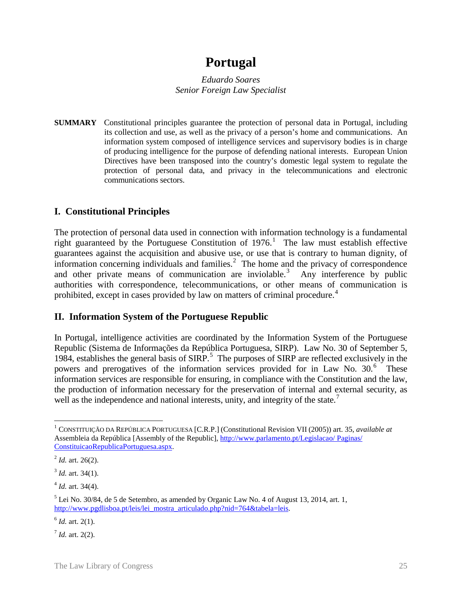# **Portugal**

*Eduardo Soares Senior Foreign Law Specialist*

**SUMMARY** Constitutional principles guarantee the protection of personal data in Portugal, including its collection and use, as well as the privacy of a person's home and communications. An information system composed of intelligence services and supervisory bodies is in charge of producing intelligence for the purpose of defending national interests. European Union Directives have been transposed into the country's domestic legal system to regulate the protection of personal data, and privacy in the telecommunications and electronic communications sectors.

# **I. Constitutional Principles**

The protection of personal data used in connection with information technology is a fundamental right guaranteed by the Portuguese Constitution of  $1976$  $1976$ .<sup>1</sup> The law must establish effective guarantees against the acquisition and abusive use, or use that is contrary to human dignity, of information concerning individuals and families. $2$  The home and the privacy of correspondence and other private means of communication are inviolable.<sup>[3](#page-26-2)</sup> Any interference by public authorities with correspondence, telecommunications, or other means of communication is prohibited, except in cases provided by law on matters of criminal procedure.<sup>[4](#page-26-3)</sup>

### **II. Information System of the Portuguese Republic**

In Portugal, intelligence activities are coordinated by the Information System of the Portuguese Republic (Sistema de Informações da República Portuguesa, SIRP). Law No. 30 of September 5, 1984, establishes the general basis of SIRP.<sup>[5](#page-26-4)</sup> The purposes of SIRP are reflected exclusively in the powers and prerogatives of the information services provided for in Law No. 30.<sup>[6](#page-26-5)</sup> These information services are responsible for ensuring, in compliance with the Constitution and the law, the production of information necessary for the preservation of internal and external security, as well as the independence and national interests, unity, and integrity of the state.<sup>[7](#page-26-6)</sup>

<span id="page-26-3"></span> $4$  *Id.* art. 34(4).

<span id="page-26-0"></span><sup>1</sup> CONSTITUIÇÃO DA REPÚBLICA PORTUGUESA [C.R.P.] (Constitutional Revision VII (2005)) art. 35, *available at* Assembleia da República [Assembly of the Republic], [http://www.parlamento.pt/Legislacao/ Paginas/](http://www.parlamento.pt/Legislacao/Paginas/ConstituicaoRepublicaPortuguesa.aspx)  [ConstituicaoRepublicaPortuguesa.aspx.](http://www.parlamento.pt/Legislacao/Paginas/ConstituicaoRepublicaPortuguesa.aspx)   $\overline{a}$ 

<span id="page-26-1"></span><sup>2</sup> *Id.* art. 26(2).

<span id="page-26-2"></span> $3$  *Id.* art. 34(1).

<span id="page-26-4"></span><sup>5</sup> Lei No. 30/84, de 5 de Setembro, as amended by Organic Law No. 4 of August 13, 2014, art. 1, http://www.pgdlisboa.pt/leis/lei mostra articulado.php?nid=764&tabela=leis.

<span id="page-26-5"></span> $^{6}$  *Id.* art. 2(1).

<span id="page-26-6"></span> $^7$  *Id.* art. 2(2).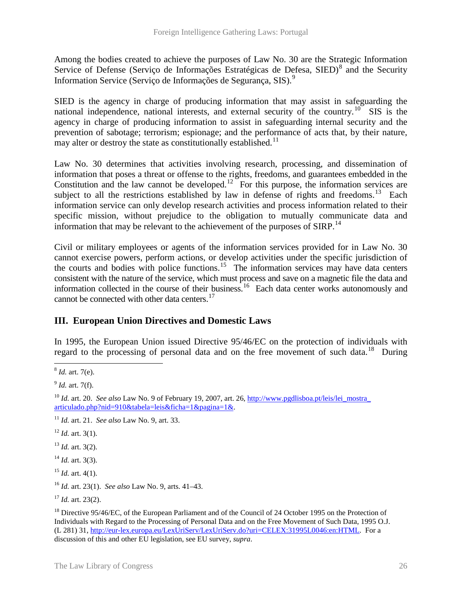Among the bodies created to achieve the purposes of Law No. 30 are the Strategic Information Service of Defense (Serviço de Informações Estratégicas de Defesa, SIED)<sup>[8](#page-27-0)</sup> and the Security Information Service (Serviço de Informações de Segurança, SIS).<sup>[9](#page-27-1)</sup>

SIED is the agency in charge of producing information that may assist in safeguarding the national independence, national interests, and external security of the country.<sup>[10](#page-27-2)</sup> SIS is the agency in charge of producing information to assist in safeguarding internal security and the prevention of sabotage; terrorism; espionage; and the performance of acts that, by their nature, may alter or destroy the state as constitutionally established.<sup>[11](#page-27-3)</sup>

Law No. 30 determines that activities involving research, processing, and dissemination of information that poses a threat or offense to the rights, freedoms, and guarantees embedded in the Constitution and the law cannot be developed.<sup>[12](#page-27-4)</sup> For this purpose, the information services are subject to all the restrictions established by law in defense of rights and freedoms.<sup>[13](#page-27-5)</sup> Each information service can only develop research activities and process information related to their specific mission, without prejudice to the obligation to mutually communicate data and information that may be relevant to the achievement of the purposes of SIRP.<sup>[14](#page-27-6)</sup>

Civil or military employees or agents of the information services provided for in Law No. 30 cannot exercise powers, perform actions, or develop activities under the specific jurisdiction of the courts and bodies with police functions.<sup>[15](#page-27-7)</sup> The information services may have data centers consistent with the nature of the service, which must process and save on a magnetic file the data and information collected in the course of their business.<sup>16</sup> Each data center works autonomously and cannot be connected with other data centers.<sup>[17](#page-27-9)</sup>

# **III. European Union Directives and Domestic Laws**

In 1995, the European Union issued Directive 95/46/EC on the protection of individuals with regard to the processing of personal data and on the free movement of such data.<sup>[18](#page-27-10)</sup> During

<span id="page-27-4"></span> $12$  *Id.* art. 3(1).

<span id="page-27-5"></span> $13$  *Id.* art. 3(2).

<span id="page-27-6"></span> $14$  *Id.* art. 3(3).

<span id="page-27-7"></span> $15$  *Id.* art. 4(1).

<span id="page-27-8"></span><sup>16</sup> *Id.* art. 23(1). *See also* Law No. 9, arts. 41–43.

<span id="page-27-0"></span><sup>8</sup> *Id.* art. 7(e).  $\overline{a}$ 

<span id="page-27-1"></span><sup>9</sup> *Id.* art. 7(f).

<span id="page-27-2"></span><sup>&</sup>lt;sup>10</sup> *Id.* art. 20. *See also* Law No. 9 of February 19, 2007, art. 26, http://www.pgdlisboa.pt/leis/lei mostra [articulado.php?nid=910&tabela=leis&ficha=1&pagina=1&.](http://www.pgdlisboa.pt/leis/lei_mostra_articulado.php?nid=910&tabela=leis&ficha=1&pagina=1&)

<span id="page-27-3"></span><sup>11</sup> *Id.* art. 21. *See also* Law No. 9, art. 33.

<span id="page-27-9"></span><sup>17</sup> *Id.* art. 23(2).

<span id="page-27-10"></span><sup>&</sup>lt;sup>18</sup> Directive 95/46/EC, of the European Parliament and of the Council of 24 October 1995 on the Protection of Individuals with Regard to the Processing of Personal Data and on the Free Movement of Such Data, 1995 O.J. (L 281) 31, [http://eur-lex.europa.eu/LexUriServ/LexUriServ.do?uri=CELEX:31995L0046:en:HTML.](http://eur-lex.europa.eu/LexUriServ/LexUriServ.do?uri=CELEX:31995L0046:en:HTML) For a discussion of this and other EU legislation, see EU survey, *supra*.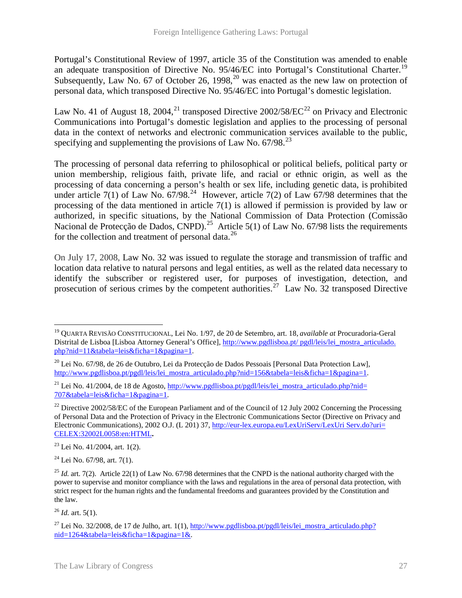Portugal's Constitutional Review of 1997, article 35 of the Constitution was amended to enable an adequate transposition of Directive No. 95/46/EC into Portugal's Constitutional Charter.<sup>[19](#page-28-0)</sup> Subsequently, Law No. 67 of October 26, 1998,  $^{20}$  $^{20}$  $^{20}$  was enacted as the new law on protection of personal data, which transposed Directive No. 95/46/EC into Portugal's domestic legislation.

Law No. 41 of August 18, 2004,<sup>[21](#page-28-2)</sup> transposed Directive 2002/58/EC<sup>[22](#page-28-3)</sup> on Privacy and Electronic Communications into Portugal's domestic legislation and applies to the processing of personal data in the context of networks and electronic communication services available to the public, specifying and supplementing the provisions of Law No.  $67/98$ <sup>[23](#page-28-4)</sup>

The processing of personal data referring to philosophical or political beliefs, political party or union membership, religious faith, private life, and racial or ethnic origin, as well as the processing of data concerning a person's health or sex life, including genetic data, is prohibited under article 7(1) of Law No.  $67/98.^{24}$  However, article 7(2) of Law 67/98 determines that the processing of the data mentioned in article 7(1) is allowed if permission is provided by law or authorized, in specific situations, by the National Commission of Data Protection (Comissão Nacional de Protecção de Dados, CNPD).<sup>[25](#page-28-6)</sup> Article 5(1) of Law No. 67/98 lists the requirements for the collection and treatment of personal data.<sup>[26](#page-28-7)</sup>

On July 17, 2008, Law No. 32 was issued to regulate the storage and transmission of traffic and location data relative to natural persons and legal entities, as well as the related data necessary to identify the subscriber or registered user, for purposes of investigation, detection, and prosecution of serious crimes by the competent authorities.<sup>[27](#page-28-8)</sup> Law No. 32 transposed Directive

<span id="page-28-4"></span> $23$  Lei No. 41/2004, art. 1(2).

<span id="page-28-5"></span> $^{24}$  Lei No. 67/98, art. 7(1).

<span id="page-28-7"></span> $^{26}$  *Id.* art. 5(1).

<span id="page-28-0"></span><sup>19</sup> QUARTA REVISÃO CONSTITUCIONAL, Lei No. 1/97, de 20 de Setembro, art. 18, *available at* Procuradoria-Geral Distrital de Lisboa [Lisboa Attorney General's Office], [http://www.pgdlisboa.pt/ pgdl/leis/lei\\_mostra\\_articulado.](http://www.pgdlisboa.pt/pgdl/leis/lei_mostra_articulado.php?nid=11&tabela=leis&ficha=1&pagina=1)  [php?nid=11&tabela=leis&ficha=1&pagina=1.](http://www.pgdlisboa.pt/pgdl/leis/lei_mostra_articulado.php?nid=11&tabela=leis&ficha=1&pagina=1)  $\overline{a}$ 

<span id="page-28-1"></span><sup>&</sup>lt;sup>20</sup> Lei No. 67/98, de 26 de Outubro, Lei da Protecção de Dados Pessoais [Personal Data Protection Law], [http://www.pgdlisboa.pt/pgdl/leis/lei\\_mostra\\_articulado.php?nid=156&tabela=leis&ficha=1&pagina=1.](http://www.pgdlisboa.pt/pgdl/leis/lei_mostra_articulado.php?nid=156&tabela=leis&ficha=1&pagina=1)

<span id="page-28-2"></span><sup>&</sup>lt;sup>21</sup> Lei No. 41/2004, de 18 de Agosto, http://www.pgdlisboa.pt/pgdl/leis/lei mostra articulado.php?nid= [707&tabela=leis&ficha=1&pagina=1.](http://www.pgdlisboa.pt/pgdl/leis/lei_mostra_articulado.php?nid=707&tabela=leis&ficha=1&pagina=1)

<span id="page-28-3"></span><sup>&</sup>lt;sup>22</sup> Directive 2002/58/EC of the European Parliament and of the Council of 12 July 2002 Concerning the Processing of Personal Data and the Protection of Privacy in the Electronic Communications Sector (Directive on Privacy and Electronic Communications), 2002 O.J. (L 201) 37, [http://eur-lex.europa.eu/LexUriServ/LexUri Serv.do?uri=](http://eur-lex.europa.eu/LexUriServ/LexUriServ.do?uri=CELEX:32002L0058:en:HTML)  [CELEX:32002L0058:en:HTML](http://eur-lex.europa.eu/LexUriServ/LexUriServ.do?uri=CELEX:32002L0058:en:HTML)**.** 

<span id="page-28-6"></span><sup>&</sup>lt;sup>25</sup> *Id.* art. 7(2). Article 22(1) of Law No. 67/98 determines that the CNPD is the national authority charged with the power to supervise and monitor compliance with the laws and regulations in the area of personal data protection, with strict respect for the human rights and the fundamental freedoms and guarantees provided by the Constitution and the law.

<span id="page-28-8"></span><sup>&</sup>lt;sup>27</sup> Lei No. 32/2008, de 17 de Julho, art. 1(1), http://www.pgdlisboa.pt/pgdl/leis/lei mostra articulado.php? [nid=1264&tabela=leis&ficha=1&pagina=1&.](http://www.pgdlisboa.pt/pgdl/leis/lei_mostra_articulado.php?nid=1264&tabela=leis&ficha=1&pagina=1&)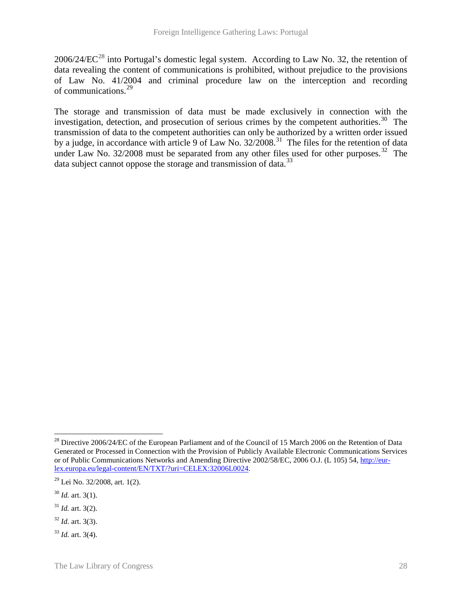$2006/24/EC^{28}$  $2006/24/EC^{28}$  $2006/24/EC^{28}$  into Portugal's domestic legal system. According to Law No. 32, the retention of data revealing the content of communications is prohibited, without prejudice to the provisions of Law No. 41/2004 and criminal procedure law on the interception and recording of communications. [29](#page-29-1)

The storage and transmission of data must be made exclusively in connection with the investigation, detection, and prosecution of serious crimes by the competent authorities.<sup>[30](#page-29-2)</sup> The transmission of data to the competent authorities can only be authorized by a written order issued by a judge, in accordance with article 9 of Law No. 32/2008.<sup>[31](#page-29-3)</sup> The files for the retention of data under Law No.  $32/2008$  must be separated from any other files used for other purposes.<sup>32</sup> The data subject cannot oppose the storage and transmission of data.<sup>[33](#page-29-5)</sup>

 $\overline{a}$ 

<span id="page-29-0"></span><sup>&</sup>lt;sup>28</sup> Directive 2006/24/EC of the European Parliament and of the Council of 15 March 2006 on the Retention of Data Generated or Processed in Connection with the Provision of Publicly Available Electronic Communications Services or of Public Communications Networks and Amending Directive 2002/58/EC, 2006 O.J. (L 105) 54, [http://eur](http://eur-lex.europa.eu/legal-content/EN/TXT/?uri=CELEX:32006L0024)[lex.europa.eu/legal-content/EN/TXT/?uri=CELEX:32006L0024.](http://eur-lex.europa.eu/legal-content/EN/TXT/?uri=CELEX:32006L0024)

<span id="page-29-1"></span> $29$  Lei No. 32/2008, art. 1(2).

<span id="page-29-2"></span><sup>30</sup> *Id.* art. 3(1).

<span id="page-29-3"></span> $31$  *Id.* art. 3(2).

<span id="page-29-4"></span> $32$  *Id.* art. 3(3).

<span id="page-29-5"></span><sup>33</sup> *Id.* art. 3(4).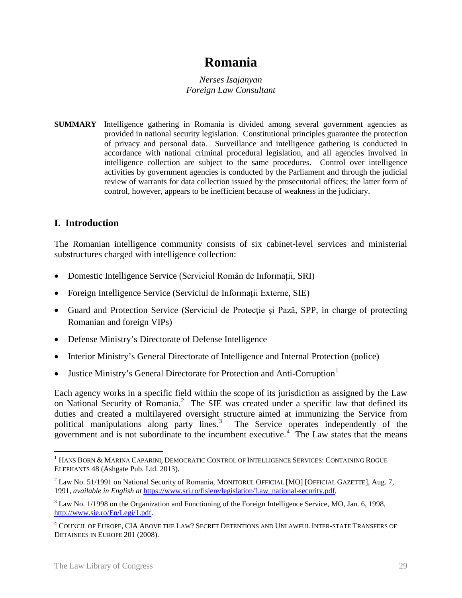# **Romania**

*Nerses Isajanyan Foreign Law Consultant*

**SUMMARY** Intelligence gathering in Romania is divided among several government agencies as provided in national security legislation. Constitutional principles guarantee the protection of privacy and personal data. Surveillance and intelligence gathering is conducted in accordance with national criminal procedural legislation, and all agencies involved in intelligence collection are subject to the same procedures. Control over intelligence activities by government agencies is conducted by the Parliament and through the judicial review of warrants for data collection issued by the prosecutorial offices; the latter form of control, however, appears to be inefficient because of weakness in the judiciary.

# **I. Introduction**

The Romanian intelligence community consists of six cabinet-level services and ministerial substructures charged with intelligence collection:

- Domestic Intelligence Service (Serviciul Român de Informații, SRI)
- Foreign Intelligence Service (Serviciul de Informații Externe, SIE)
- Guard and Protection Service (Serviciul de Protecție și Pază, SPP, in charge of protecting Romanian and foreign VIPs)
- Defense Ministry's Directorate of Defense Intelligence
- Interior Ministry's General Directorate of Intelligence and Internal Protection (police)
- Justice Ministry's General Directorate for Protection and Anti-Corruption<sup>[1](#page-30-0)</sup>

Each agency works in a specific field within the scope of its jurisdiction as assigned by the Law on National Security of Romania.<sup>[2](#page-30-1)</sup> The SIE was created under a specific law that defined its duties and created a multilayered oversight structure aimed at immunizing the Service from political manipulations along party lines.<sup>[3](#page-30-2)</sup> The Service operates independently of the government and is not subordinate to the incumbent executive.<sup>[4](#page-30-3)</sup> The Law states that the means

<span id="page-30-0"></span> $^{\rm 1}$  Hans Born & Marina Caparini, Democratic Control of Intelligence Services: Containing Rogue ELEPHANTS 48 (Ashgate Pub. Ltd. 2013).  $\overline{a}$ 

<span id="page-30-1"></span><sup>&</sup>lt;sup>2</sup> Law No. 51/1991 on National Security of Romania, MONITORUL OFFICIAL [MO] [OFFICIAL GAZETTE], Aug. 7, 1991, *available in English at* [https://www.sri.ro/fisiere/legislation/Law\\_national-security.pdf.](https://www.sri.ro/fisiere/legislation/Law_national-security.pdf)

<span id="page-30-2"></span><sup>&</sup>lt;sup>3</sup> Law No. 1/1998 on the Organization and Functioning of the Foreign Intelligence Service, MO, Jan. 6, 1998, [http://www.sie.ro/En/Legi/1.pdf.](http://www.sie.ro/En/Legi/1.pdf)

<span id="page-30-3"></span><sup>4</sup> COUNCIL OF EUROPE, CIA ABOVE THE LAW? SECRET DETENTIONS AND UNLAWFUL INTER-STATE TRANSFERS OF DETAINEES IN EUROPE 201 (2008).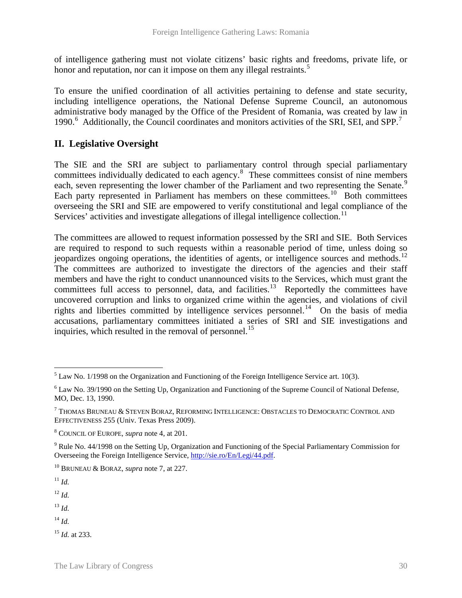of intelligence gathering must not violate citizens' basic rights and freedoms, private life, or honor and reputation, nor can it impose on them any illegal restraints.<sup>[5](#page-31-0)</sup>

To ensure the unified coordination of all activities pertaining to defense and state security, including intelligence operations, the National Defense Supreme Council, an autonomous administrative body managed by the Office of the President of Romania, was created by law in 1990.<sup>[6](#page-31-1)</sup> Additionally, the Council coordinates and monitors activities of the SRI, SEI, and SPP.<sup>[7](#page-31-2)</sup>

# **II. Legislative Oversight**

The SIE and the SRI are subject to parliamentary control through special parliamentary committees individually dedicated to each agency. [8](#page-31-3) These committees consist of nine members each, seven representing the lower chamber of the Parliament and two representing the Senate.<sup>[9](#page-31-4)</sup> Each party represented in Parliament has members on these committees.<sup>[10](#page-31-5)</sup> Both committees overseeing the SRI and SIE are empowered to verify constitutional and legal compliance of the Services' activities and investigate allegations of illegal intelligence collection.<sup>[11](#page-31-6)</sup>

The committees are allowed to request information possessed by the SRI and SIE. Both Services are required to respond to such requests within a reasonable period of time, unless doing so jeopardizes ongoing operations, the identities of agents, or intelligence sources and methods.<sup>[12](#page-31-7)</sup> The committees are authorized to investigate the directors of the agencies and their staff members and have the right to conduct unannounced visits to the Services, which must grant the committees full access to personnel, data, and facilities.<sup>[13](#page-31-8)</sup> Reportedly the committees have uncovered corruption and links to organized crime within the agencies, and violations of civil rights and liberties committed by intelligence services personnel.<sup>[14](#page-31-9)</sup> On the basis of media accusations, parliamentary committees initiated a series of SRI and SIE investigations and inquiries, which resulted in the removal of personnel.<sup>[15](#page-31-10)</sup>

<span id="page-31-6"></span> $11 \, H$ 

<span id="page-31-7"></span><sup>12</sup> *Id.*

<span id="page-31-8"></span><sup>13</sup> *Id.*

<span id="page-31-9"></span><sup>14</sup> *Id.*

<span id="page-31-10"></span><sup>15</sup> *Id.* at 233.

<span id="page-31-0"></span> $<sup>5</sup>$  Law No. 1/1998 on the Organization and Functioning of the Foreign Intelligence Service art. 10(3).</sup>  $\overline{a}$ 

<span id="page-31-1"></span><sup>&</sup>lt;sup>6</sup> Law No. 39/1990 on the Setting Up, Organization and Functioning of the Supreme Council of National Defense, MO, Dec. 13, 1990.

<span id="page-31-2"></span><sup>7</sup> THOMAS BRUNEAU & STEVEN BORAZ, REFORMING INTELLIGENCE: OBSTACLES TO DEMOCRATIC CONTROL AND EFFECTIVENESS 255 (Univ. Texas Press 2009).

<span id="page-31-3"></span><sup>8</sup> COUNCIL OF EUROPE, *supra* note 4, at 201.

<span id="page-31-4"></span><sup>9</sup> Rule No. 44/1998 on the Setting Up, Organization and Functioning of the Special Parliamentary Commission for Overseeing the Foreign Intelligence Service, [http://sie.ro/En/Legi/44.pdf.](http://sie.ro/En/Legi/44.pdf) 

<span id="page-31-5"></span><sup>10</sup> BRUNEAU & BORAZ, *supra* note 7, at 227.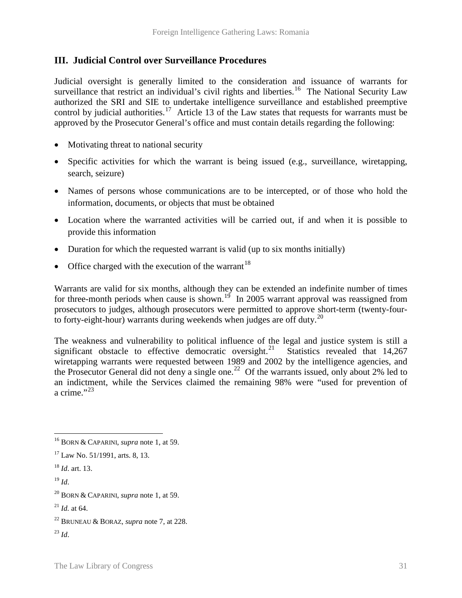# **III. Judicial Control over Surveillance Procedures**

Judicial oversight is generally limited to the consideration and issuance of warrants for surveillance that restrict an individual's civil rights and liberties.<sup>[16](#page-32-0)</sup> The National Security Law authorized the SRI and SIE to undertake intelligence surveillance and established preemptive control by judicial authorities.<sup>[17](#page-32-1)</sup> Article 13 of the Law states that requests for warrants must be approved by the Prosecutor General's office and must contain details regarding the following:

- Motivating threat to national security
- Specific activities for which the warrant is being issued (e.g., surveillance, wiretapping, search, seizure)
- Names of persons whose communications are to be intercepted, or of those who hold the information, documents, or objects that must be obtained
- Location where the warranted activities will be carried out, if and when it is possible to provide this information
- Duration for which the requested warrant is valid (up to six months initially)
- Office charged with the execution of the warrant<sup>[18](#page-32-2)</sup>

Warrants are valid for six months, although they can be extended an indefinite number of times for three-month periods when cause is shown.<sup>[19](#page-32-3)</sup> In 2005 warrant approval was reassigned from prosecutors to judges, although prosecutors were permitted to approve short-term (twenty-four-to forty-eight-hour) warrants during weekends when judges are off duty.<sup>[20](#page-32-4)</sup>

The weakness and vulnerability to political influence of the legal and justice system is still a significant obstacle to effective democratic oversight.<sup>[21](#page-32-5)</sup> Statistics revealed that  $14,267$ wiretapping warrants were requested between 1989 and 2002 by the intelligence agencies, and the Prosecutor General did not deny a single one.<sup>[22](#page-32-6)</sup> Of the warrants issued, only about 2% led to an indictment, while the Services claimed the remaining 98% were "used for prevention of a crime." $^{32}$ 

- <span id="page-32-2"></span><sup>18</sup> *Id*. art. 13.
- <span id="page-32-3"></span><sup>19</sup> *Id*.

<span id="page-32-7"></span> $^{23}$  *Id.* 

<span id="page-32-0"></span><sup>16</sup> BORN & CAPARINI, *supra* note 1, at 59.  $\overline{a}$ 

<span id="page-32-1"></span><sup>17</sup> Law No. 51/1991, arts. 8, 13.

<span id="page-32-4"></span><sup>20</sup> BORN & CAPARINI, *supra* note 1, at 59.

<span id="page-32-5"></span> $^{21}$  *Id.* at 64.

<span id="page-32-6"></span><sup>22</sup> BRUNEAU & BORAZ, *supra* note 7, at 228.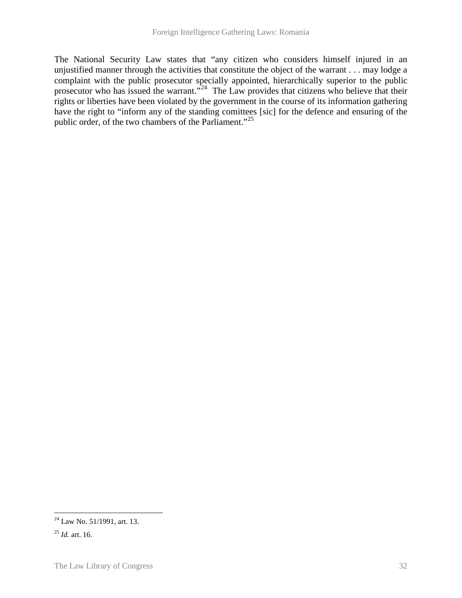The National Security Law states that "any citizen who considers himself injured in an unjustified manner through the activities that constitute the object of the warrant . . . may lodge a complaint with the public prosecutor specially appointed, hierarchically superior to the public prosecutor who has issued the warrant."<sup>[24](#page-33-0)</sup> The Law provides that citizens who believe that their rights or liberties have been violated by the government in the course of its information gathering have the right to "inform any of the standing comittees [sic] for the defence and ensuring of the public order, of the two chambers of the Parliament."<sup>[25](#page-33-1)</sup>

<span id="page-33-0"></span> $^{24}$  Law No. 51/1991, art. 13.  $\overline{a}$ 

<span id="page-33-1"></span><sup>25</sup> *Id.* art. 16.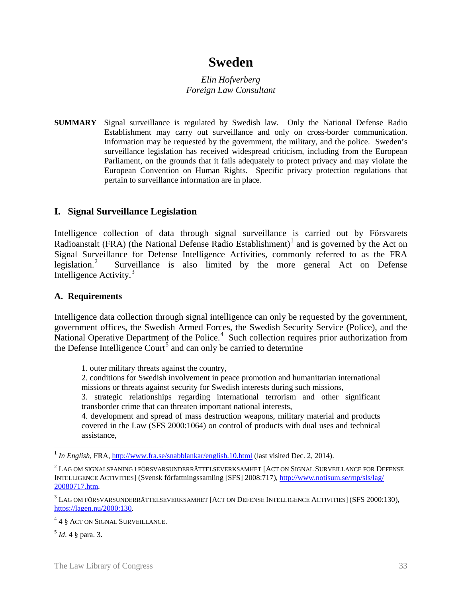# **Sweden**

*Elin Hofverberg Foreign Law Consultant*

**SUMMARY** Signal surveillance is regulated by Swedish law. Only the National Defense Radio Establishment may carry out surveillance and only on cross-border communication. Information may be requested by the government, the military, and the police. Sweden's surveillance legislation has received widespread criticism, including from the European Parliament, on the grounds that it fails adequately to protect privacy and may violate the European Convention on Human Rights. Specific privacy protection regulations that pertain to surveillance information are in place.

# **I. Signal Surveillance Legislation**

Intelligence collection of data through signal surveillance is carried out by Försvarets Radioanstalt (FRA) (the National Defense Radio Establishment)<sup>[1](#page-34-0)</sup> and is governed by the Act on Signal Surveillance for Defense Intelligence Activities, commonly referred to as the FRA legislation. $^{2}$  $^{2}$  $^{2}$  Surveillance is also limited by the more general Act on Defense Intelligence Activity.[3](#page-34-2)

### **A. Requirements**

Intelligence data collection through signal intelligence can only be requested by the government, government offices, the Swedish Armed Forces, the Swedish Security Service (Police), and the National Operative Department of the Police.<sup>[4](#page-34-3)</sup> Such collection requires prior authorization from the Defense Intelligence Court<sup>[5](#page-34-4)</sup> and can only be carried to determine

1. outer military threats against the country,

2. conditions for Swedish involvement in peace promotion and humanitarian international missions or threats against security for Swedish interests during such missions,

3. strategic relationships regarding international terrorism and other significant transborder crime that can threaten important national interests,

4. development and spread of mass destruction weapons, military material and products covered in the Law (SFS 2000:1064) on control of products with dual uses and technical assistance,

<span id="page-34-0"></span><sup>&</sup>lt;sup>1</sup> *In English*, FRA[, http://www.fra.se/snabblankar/english.10.html](http://www.fra.se/snabblankar/english.10.html) (last visited Dec. 2, 2014).  $\overline{a}$ 

<span id="page-34-1"></span><sup>2</sup> LAG OM SIGNALSPANING I FÖRSVARSUNDERRÄTTELSEVERKSAMHET [ACT ON SIGNAL SURVEILLANCE FOR DEFENSE INTELLIGENCE ACTIVITIES] (Svensk författningssamling [SFS] 2008:717)[, http://www.notisum.se/rnp/sls/lag/](http://www.notisum.se/rnp/sls/lag/20080717.htm)  [20080717.htm.](http://www.notisum.se/rnp/sls/lag/20080717.htm)

<span id="page-34-2"></span><sup>3</sup> LAG OM FÖRSVARSUNDERRÄTTELSEVERKSAMHET [ACT ON DEFENSE INTELLIGENCE ACTIVITIES] (SFS 2000:130), [https://lagen.nu/2000:130.](https://lagen.nu/2000:130)

<span id="page-34-3"></span><sup>4</sup> 4 § ACT ON SIGNAL SURVEILLANCE.

<span id="page-34-4"></span><sup>5</sup> *Id*. 4 § para. 3.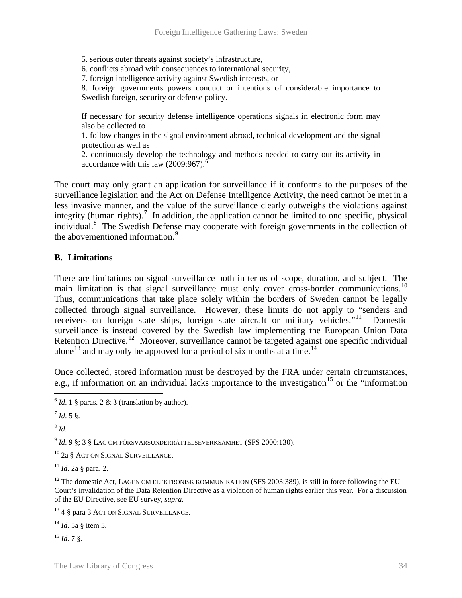5. serious outer threats against society's infrastructure,

6. conflicts abroad with consequences to international security,

7. foreign intelligence activity against Swedish interests, or

8. foreign governments powers conduct or intentions of considerable importance to Swedish foreign, security or defense policy.

If necessary for security defense intelligence operations signals in electronic form may also be collected to

1. follow changes in the signal environment abroad, technical development and the signal protection as well as

2. continuously develop the technology and methods needed to carry out its activity in accordance with this law (2009:9[6](#page-35-0)7).<sup>6</sup>

The court may only grant an application for surveillance if it conforms to the purposes of the surveillance legislation and the Act on Defense Intelligence Activity, the need cannot be met in a less invasive manner, and the value of the surveillance clearly outweighs the violations against integrity (human rights).<sup>[7](#page-35-1)</sup> In addition, the application cannot be limited to one specific, physical individual.<sup>[8](#page-35-2)</sup> The Swedish Defense may cooperate with foreign governments in the collection of the abovementioned information.<sup>[9](#page-35-3)</sup>

#### **B. Limitations**

There are limitations on signal surveillance both in terms of scope, duration, and subject. The main limitation is that signal surveillance must only cover cross-border communications.<sup>[10](#page-35-4)</sup> Thus, communications that take place solely within the borders of Sweden cannot be legally collected through signal surveillance. However, these limits do not apply to "senders and receivers on foreign state ships, foreign state aircraft or military vehicles."<sup>11</sup> Domestic surveillance is instead covered by the Swedish law implementing the European Union Data Retention Directive.<sup>[12](#page-35-6)</sup> Moreover, surveillance cannot be targeted against one specific individual alone<sup>[13](#page-35-7)</sup> and may only be approved for a period of six months at a time.<sup>[14](#page-35-8)</sup>

Once collected, stored information must be destroyed by the FRA under certain circumstances, e.g., if information on an individual lacks importance to the investigation<sup>[15](#page-35-9)</sup> or the "information"

<span id="page-35-1"></span><span id="page-35-0"></span> $^{7}$  *Id.* 5 §.

<span id="page-35-2"></span><sup>8</sup> *Id*.

<span id="page-35-3"></span><sup>9</sup> *Id*. 9 §; 3 § LAG OM FÖRSVARSUNDERRÄTTELSEVERKSAMHET (SFS 2000:130).

<span id="page-35-4"></span><sup>10</sup> 2a § ACT ON SIGNAL SURVEILLANCE.

<span id="page-35-5"></span><sup>11</sup> *Id*. 2a § para. 2.

<span id="page-35-6"></span><sup>12</sup> The domestic Act, LAGEN OM ELEKTRONISK KOMMUNIKATION (SFS 2003:389), is still in force following the EU Court's invalidation of the Data Retention Directive as a violation of human rights earlier this year. For a discussion of the EU Directive, see EU survey, *supra*.

<span id="page-35-7"></span><sup>13</sup> 4 § para 3 ACT ON SIGNAL SURVEILLANCE.

<span id="page-35-8"></span><sup>14</sup> *Id*. 5a § item 5.

<span id="page-35-9"></span><sup>15</sup> *Id*. 7 §.

 $6$  *Id*. 1 § paras. 2 & 3 (translation by author).  $\overline{a}$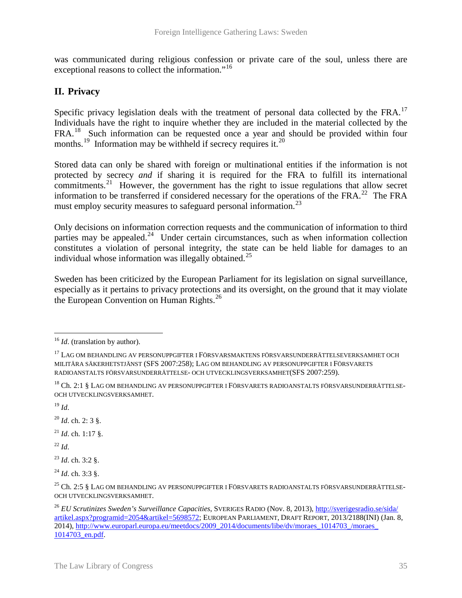was communicated during religious confession or private care of the soul, unless there are exceptional reasons to collect the information."<sup>16</sup>

# **II. Privacy**

Specific privacy legislation deals with the treatment of personal data collected by the  $FRA$ .<sup>[17](#page-36-1)</sup> Individuals have the right to inquire whether they are included in the material collected by the FRA.<sup>18</sup> Such information can be requested once a year and should be provided within four months.<sup>[19](#page-36-3)</sup> Information may be withheld if secrecy requires it.<sup>20</sup>

Stored data can only be shared with foreign or multinational entities if the information is not protected by secrecy *and* if sharing it is required for the FRA to fulfill its international commitments.<sup>[21](#page-36-5)</sup> However, the government has the right to issue regulations that allow secret information to be transferred if considered necessary for the operations of the FRA.<sup>[22](#page-36-6)</sup> The FRA must employ security measures to safeguard personal information.<sup>23</sup>

Only decisions on information correction requests and the communication of information to third parties may be appealed.<sup>24</sup> Under certain circumstances, such as when information collection constitutes a violation of personal integrity, the state can be held liable for damages to an individual whose information was illegally obtained.<sup>[25](#page-36-9)</sup>

Sweden has been criticized by the European Parliament for its legislation on signal surveillance, especially as it pertains to privacy protections and its oversight, on the ground that it may violate the European Convention on Human Rights.<sup>[26](#page-36-10)</sup>

<span id="page-36-3"></span> $^{19}$  *Id*.

<span id="page-36-4"></span><sup>20</sup> *Id*. ch. 2: 3 §.

<span id="page-36-5"></span><sup>21</sup> *Id*. ch. 1:17 §.

<span id="page-36-6"></span> $^{22}$  *Id.* 

<span id="page-36-7"></span><sup>23</sup> *Id*. ch. 3:2 §.

<span id="page-36-8"></span><sup>24</sup> *Id*. ch. 3:3 §.

<span id="page-36-0"></span><sup>&</sup>lt;sup>16</sup> *Id.* (translation by author).

<span id="page-36-1"></span> $^{17}$ LAG OM BEHANDLING AV PERSONUPPGIFTER I FÖRSVARSMAKTENS FÖRSVARSUNDERRÄTTELSEVERKSAMHET OCH MILITÄRA SÄKERHETSTJÄNST (SFS 2007:258); LAG OM BEHANDLING AV PERSONUPPGIFTER I FÖRSVARETS RADIOANSTALTS FÖRSVARSUNDERRÄTTELSE- OCH UTVECKLINGSVERKSAMHET(SFS 2007:259).

<span id="page-36-2"></span><sup>&</sup>lt;sup>18</sup> Ch. 2:1 § Lag om behandling av personuppgifter i Försvarets radioanstalts försvarsunderrättelse-OCH UTVECKLINGSVERKSAMHET.

<span id="page-36-9"></span><sup>&</sup>lt;sup>25</sup> Ch. 2:5 § LAG OM BEHANDLING AV PERSONUPPGIFTER I FÖRSVARETS RADIOANSTALTS FÖRSVARSUNDERRÄTTELSE-OCH UTVECKLINGSVERKSAMHET.

<span id="page-36-10"></span><sup>26</sup> *EU Scrutinizes Sweden's Surveillance Capacities*, SVERIGES RADIO (Nov. 8, 2013), [http://sverigesradio.se/sida/](http://sverigesradio.se/sida/artikel.aspx?programid=2054&artikel=5698572)  [artikel.aspx?programid=2054&artikel=5698572;](http://sverigesradio.se/sida/artikel.aspx?programid=2054&artikel=5698572) EUROPEAN PARLIAMENT, DRAFT REPORT, 2013/2188(INI) (Jan. 8, 2014), [http://www.europarl.europa.eu/meetdocs/2009\\_2014/documents/libe/dv/moraes\\_1014703\\_/moraes\\_](http://www.europarl.europa.eu/meetdocs/2009_2014/documents/libe/dv/moraes_1014703_/moraes_1014703_en.pdf)  [1014703\\_en.pdf.](http://www.europarl.europa.eu/meetdocs/2009_2014/documents/libe/dv/moraes_1014703_/moraes_1014703_en.pdf)